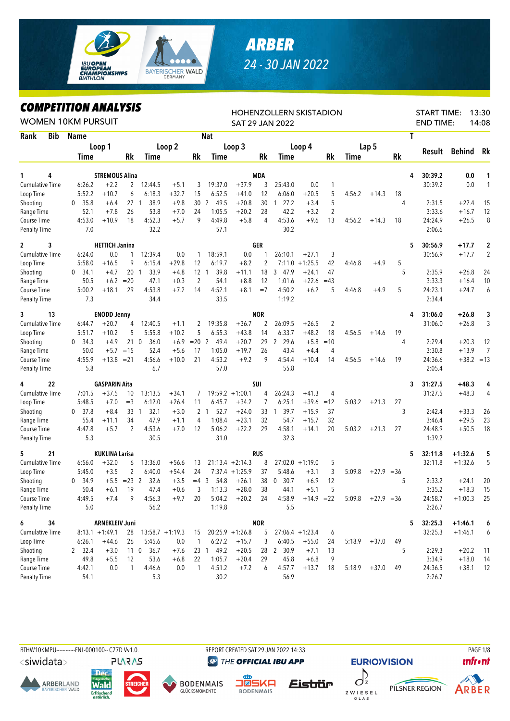

## *ARBER 24 - 30 JAN 2022*

## *COMPETITION ANALYSIS*

|                           |            | LUMPEHIIVN ANALIƏIƏ<br><b>WOMEN 10KM PURSUIT</b> |                       |                 | HOHENZOLLERN SKISTADION<br><b>SAT 29 JAN 2022</b> |                   |                      |                  |                    |                |                        |                   |                |        | <b>START TIME:</b><br><b>END TIME:</b> |           | 13:30<br>14:08    |                      |                |
|---------------------------|------------|--------------------------------------------------|-----------------------|-----------------|---------------------------------------------------|-------------------|----------------------|------------------|--------------------|----------------|------------------------|-------------------|----------------|--------|----------------------------------------|-----------|-------------------|----------------------|----------------|
| Rank                      | <b>Bib</b> | <b>Name</b>                                      |                       |                 |                                                   |                   |                      | <b>Nat</b>       |                    |                |                        |                   |                |        |                                        |           | Τ                 |                      |                |
|                           |            |                                                  | Loop 1                |                 |                                                   | Loop 2            |                      |                  | Loop 3             |                |                        | Loop 4            |                |        | Lap 5                                  |           |                   |                      |                |
|                           |            | Time                                             |                       | Rk              | Time                                              |                   | Rk                   | Time             |                    | Rk             | Time                   |                   | Rk             | Time   |                                        | <b>Rk</b> | <b>Result</b>     | <b>Behind</b>        | Rk             |
|                           |            |                                                  |                       |                 |                                                   |                   |                      |                  |                    |                |                        |                   |                |        |                                        |           |                   |                      |                |
| 1                         | 4          |                                                  | STREMOUS Alina        |                 |                                                   |                   |                      |                  |                    | MDA            |                        |                   |                |        |                                        |           | 30:39.2<br>4      | 0.0                  | 1              |
| <b>Cumulative Time</b>    |            | 6:26.2                                           | $+2.2$                | 2               | 12:44.5                                           | $+5.1$            | 3                    | 19:37.0          | $+37.9$            | 3              | 25:43.0                | 0.0               | 1              |        |                                        |           | 30:39.2           | 0.0                  | 1              |
| Loop Time                 |            | 5:52.2                                           | $+10.7$               | 6               | 6:18.3                                            | $+32.7$           | 15                   | 6:52.5           | $+41.0$            | 12             | 6:06.0                 | $+20.5$           | 5              | 4:56.2 | $+14.3$                                | 18        |                   |                      |                |
| Shooting                  |            | 35.8<br>0                                        | $+6.4$                | 27 <sub>1</sub> | 38.9                                              | $+9.8$            | 30                   | 49.5<br>2        | $+20.8$            | 30             | 27.2<br>$\mathbf{1}$   | $+3.4$            | 5              |        |                                        | 4         | 2:31.5            | $+22.4$              | 15             |
| Range Time                |            | 52.1                                             | $+7.8$                | 26              | 53.8                                              | $+7.0$            | 24                   | 1:05.5           | $+20.2$            | 28             | 42.2                   | $+3.2$            | $\overline{2}$ |        |                                        |           | 3:33.6            | $+16.7$              | 12             |
| Course Time               |            | 4:53.0                                           | $+10.9$               | 18              | 4:52.3                                            | $+5.7$            | 9                    | 4:49.8           | $+5.8$             | 4              | 4:53.6                 | $+9.6$            | 13             | 4:56.2 | $+14.3$                                | 18        | 24:24.9           | $+26.5$              | 8              |
| <b>Penalty Time</b>       |            | 7.0                                              |                       |                 | 32.2                                              |                   |                      | 57.1             |                    |                | 30.2                   |                   |                |        |                                        |           | 2:06.6            |                      |                |
| $\overline{c}$            | 3          |                                                  | <b>HETTICH Janina</b> |                 |                                                   |                   |                      |                  |                    | <b>GER</b>     |                        |                   |                |        |                                        |           | 5<br>30:56.9      | $+17.7$              | $\mathbf 2$    |
| <b>Cumulative Time</b>    |            | 6:24.0                                           | 0.0                   | 1               | 12:39.4                                           | 0.0               | 1                    | 18:59.1          | $0.0\,$            | 1              | 26:10.1                | $+27.1$           | 3              |        |                                        |           | 30:56.9           | $+17.7$              | $\overline{2}$ |
| Loop Time                 |            | 5:58.0                                           | $+16.5$               | 9               | 6:15.4                                            | $+29.8$           | 12                   | 6:19.7           | $+8.2$             | $\overline{2}$ | 7:11.0                 | $+1:25.5$         | 42             | 4:46.8 | $+4.9$                                 | 5         |                   |                      |                |
| Shooting                  |            | $\mathbf{0}$<br>34.1                             | $+4.7$                | 20 <sub>1</sub> | 33.9                                              | $+4.8$            |                      | 39.8<br>12 1     | $+11.1$            | 18             | 3<br>47.9              | $+24.1$           | 47             |        |                                        | 5         | 2:35.9            | $+26.8$              | 24             |
| Range Time                |            | 50.5                                             | $+6.2$                | $=20$           | 47.1                                              | $+0.3$            | 2                    | 54.1             | $+8.8$             | 12             | 1:01.6                 | $+22.6$           | $=43$          |        |                                        |           | 3:33.3            | $+16.4$              | 10             |
| Course Time               |            | 5:00.2                                           | $+18.1$               | 29              | 4:53.8                                            | $+7.2$            | 14                   | 4:52.1           | $+8.1$             | $=7$           | 4:50.2                 | $+6.2$            | 5              | 4:46.8 | $+4.9$                                 | 5         | 24:23.1           | $+24.7$              | 6              |
| <b>Penalty Time</b>       |            | 7.3                                              |                       |                 | 34.4                                              |                   |                      | 33.5             |                    |                | 1:19.2                 |                   |                |        |                                        |           | 2:34.4            |                      |                |
| 3                         | 13         |                                                  | <b>ENODD Jenny</b>    |                 |                                                   |                   |                      |                  |                    | <b>NOR</b>     |                        |                   |                |        |                                        |           | 31:06.0<br>4      | $+26.8$              | 3              |
| <b>Cumulative Time</b>    |            | 6:44.7                                           | $+20.7$               | 4               | 12:40.5                                           | $+1.1$            | 2                    | 19:35.8          | $+36.7$            | $\overline{2}$ | 26:09.5                | $+26.5$           | $\overline{c}$ |        |                                        |           | 31:06.0           | $+26.8$              | 3              |
| Loop Time                 |            | 5:51.7                                           | $+10.2$               | 5               | 5:55.8                                            | $+10.2$           | 5                    | 6:55.3           | $+43.8$            | 14             | 6:33.7                 | $+48.2$           | 18             | 4:56.5 | $+14.6$                                | 19        |                   |                      |                |
| Shooting                  |            | 34.3<br>0                                        | $+4.9$                | 210             | 36.0                                              | $+6.9$            | $= 202$              | 49.4             | $+20.7$            | 29             | 29.6<br>$\overline{2}$ | $+5.8$            | $=10$          |        |                                        | 4         | 2:29.4            | $+20.3$              | 12             |
| Range Time                |            | 50.0                                             |                       | $+5.7 = 15$     | 52.4                                              | $+5.6$            | 17                   | 1:05.0           | $+19.7$            | 26             | 43.4                   | $+4.4$            | 4              |        |                                        |           | 3:30.8            | $+13.9$              | 7              |
| Course Time               |            | 4:55.9                                           | $+13.8 = 21$          |                 | 4:56.6                                            | $+10.0$           | 21                   | 4:53.2           | $+9.2$             | 9              | 4:54.4                 | $+10.4$           | 14             | 4:56.5 | $+14.6$                                | 19        | 24:36.6           | $+38.2 = 13$         |                |
| <b>Penalty Time</b>       |            | 5.8                                              |                       |                 | 6.7                                               |                   |                      | 57.0             |                    |                | 55.8                   |                   |                |        |                                        |           | 2:05.4            |                      |                |
| 4                         | 22         |                                                  | <b>GASPARIN Aita</b>  |                 |                                                   |                   |                      |                  |                    | SUI            |                        |                   |                |        |                                        |           | 31:27.5<br>3      | $+48.3$              | 4              |
| <b>Cumulative Time</b>    |            | 7:01.5                                           | $+37.5$               | 10              | 13:13.5                                           | $+34.1$           | 7                    |                  | $19:59.2 +1:00.1$  | 4              | 26:24.3                | $+41.3$           | 4              |        |                                        |           | 31:27.5           | $+48.3$              | 4              |
| Loop Time                 |            | 5:48.5                                           | $+7.0$                | $=$ 3           | 6:12.0                                            | $+26.4$           | 11                   | 6:45.7           | $+34.2$            | 7              | 6:25.1                 | $+39.6$           | $=12$          | 5:03.2 | $+21.3$                                | 27        |                   |                      |                |
| Shooting                  |            | 0, 37.8                                          | $+8.4$                | 33 1            | 32.1                                              | $+3.0$            |                      | 52.7<br>2 1      | $+24.0$            | 33             | 39.7<br>$\overline{1}$ | $+15.9$           | 37             |        |                                        | 3         | 2:42.4            | $+33.3$              | 26             |
| Range Time                |            | 55.4                                             | $+11.1$               | 34              | 47.9                                              | $+1.1$            | 4                    | 1:08.4           | $+23.1$            | 32             | 54.7                   | $+15.7$           | 32             |        |                                        |           | 3:46.4            | $+29.5$              | 23             |
| Course Time               |            | 4:47.8                                           | $+5.7$                | $\overline{2}$  | 4:53.6                                            | $+7.0$            | 12                   | 5:06.2           | $+22.2$            | 29             | 4:58.1                 | $+14.1$           | 20             | 5:03.2 | $+21.3$                                | 27        | 24:48.9           | $+50.5$              | 18             |
| Penalty Time              |            | 5.3                                              |                       |                 | 30.5                                              |                   |                      | 31.0             |                    |                | 32.3                   |                   |                |        |                                        |           | 1:39.2            |                      |                |
| 5                         | 21         |                                                  | KUKLINA Larisa        |                 |                                                   |                   |                      |                  |                    | <b>RUS</b>     |                        |                   |                |        |                                        |           | 32:11.8<br>5      | $+1:32.6$            |                |
| <b>Cumulative Time</b>    |            | 6:56.0                                           | $+32.0$               | 6               | 13:36.0                                           | $+56.6$           | 13                   |                  | $21:13.4 + 2:14.3$ | 8              |                        | $27:02.0 +1:19.0$ | 5              |        |                                        |           | 32:11.8           | $+1:32.6$            | 5<br>5         |
| Loop Time                 |            | 5:45.0                                           |                       | 2               | 6:40.0                                            | $+54.4$           | 24                   |                  | $7:37.4 +1:25.9$   | 37             | 5:48.6                 |                   | 3              | 5:09.8 | $+27.9 = 36$                           |           |                   |                      |                |
|                           |            |                                                  | $+3.5$                | $+5.5 = 23$ 2   | 32.6                                              |                   |                      |                  |                    | 38             |                        | $+3.1$            |                |        |                                        |           |                   |                      |                |
| Shooting                  |            | 34.9<br>0                                        |                       | -19             |                                                   | $+3.5$            | $=4$ 3               | 54.8             | $+26.1$<br>$+28.0$ |                | 30.7<br>$\mathbf 0$    | $+6.9$<br>$+5.1$  | 12<br>5        |        |                                        | 5         | 2:33.2            | $+24.1$              | 20<br>15       |
| Range Time<br>Course Time |            | 50.4<br>4:49.5                                   | $+6.1$<br>$+7.4$      | 9               | 47.4<br>4:56.3                                    | $+0.6$<br>$+9.7$  | 3 <sup>7</sup><br>20 | 1:13.3<br>5:04.2 | $+20.2$            | 38<br>24       | 44.1<br>4:58.9         | $+14.9$ =22       |                | 5:09.8 | $+27.9 = 36$                           |           | 3:35.2<br>24:58.7 | $+18.3$<br>$+1:00.3$ | 25             |
| <b>Penalty Time</b>       |            | 5.0                                              |                       |                 | 56.2                                              |                   |                      | 1:19.8           |                    |                | 5.5                    |                   |                |        |                                        |           | 2:26.7            |                      |                |
|                           |            |                                                  |                       |                 |                                                   |                   |                      |                  |                    |                |                        |                   |                |        |                                        |           |                   |                      |                |
| 6                         | 34         |                                                  | <b>ARNEKLEIV Juni</b> |                 |                                                   |                   |                      |                  |                    | <b>NOR</b>     |                        |                   |                |        |                                        |           | 32:25.3<br>5      | $+1:46.1$            | 6              |
| <b>Cumulative Time</b>    |            |                                                  | $8:13.1 + 1:49.1$     | 28              |                                                   | $13:58.7 +1:19.3$ | 15                   |                  | $20:25.9 +1:26.8$  | 5              |                        | $27:06.4 +1:23.4$ | 6              |        |                                        |           | 32:25.3           | $+1:46.1$            | 6              |
| Loop Time                 |            | 6:26.1                                           | $+44.6$               | 26              | 5:45.6                                            | 0.0               | $\mathbf{1}$         | 6:27.2           | $+15.7$            | 3              | 6:40.5                 | $+55.0$           | 24             | 5:18.9 | $+37.0$                                | 49        |                   |                      |                |
| Shooting                  |            | 2 32.4                                           | $+3.0$                |                 | 36.7<br>11 <sub>0</sub>                           | $+7.6$            |                      | 23 1 49.2        | $+20.5$            |                | 28 2 30.9              | $+7.1$            | 13             |        |                                        | 5         | 2:29.3            | $+20.2$              | 11             |
| Range Time                |            | 49.8                                             | $+5.5$                | 12              | 53.6                                              | $+6.8$            | 22                   | 1:05.7           | $+20.4$            | 29             | 45.8                   | $+6.8$            | 9              |        |                                        |           | 3:34.9            | $+18.0$              | 14             |
| Course Time               |            | 4:42.1                                           | 0.0                   | $\mathbf{1}$    | 4:46.6                                            | 0.0               | $\mathbf{1}$         | 4:51.2           | $+7.2$             | 6              | 4:57.7                 | $+13.7$           | 18             |        | $5:18.9 + 37.0$                        | 49        | 24:36.5           | $+38.1$              | 12             |
| Penalty Time              |            | 54.1                                             |                       |                 | 5.3                                               |                   |                      | 30.2             |                    |                | 56.9                   |                   |                |        |                                        |           | 2:26.7            |                      |                |

BTHW10KMPU-----------FNL-000100-- C77D Vv1.0. REPORT CREATED SAT 29 JAN 2022 14:33 REPORT CREATED SAT 29 JAN 2022 14:33

<siwidata>





**Erfrisch** 





THE OFFICIAL IBU APP

Eistrür







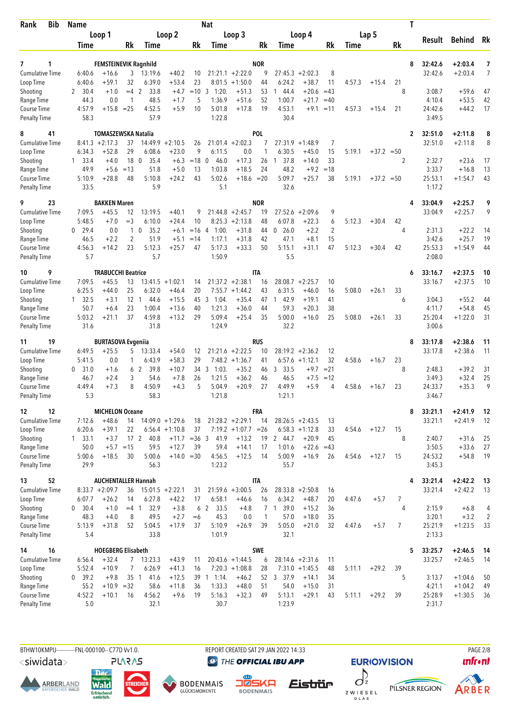| <b>Bib</b><br>Rank                 | <b>Name</b>       |                                         |              |                                  |                    |          | Nat                    |                             |                  |                        |                             |                |        |              |         | T                         |                        |                |
|------------------------------------|-------------------|-----------------------------------------|--------------|----------------------------------|--------------------|----------|------------------------|-----------------------------|------------------|------------------------|-----------------------------|----------------|--------|--------------|---------|---------------------------|------------------------|----------------|
|                                    |                   | Loop 1                                  |              |                                  | Loop 2             |          |                        | Loop 3                      |                  |                        | Loop 4                      |                |        | Lap 5        |         | Result                    | Behind Rk              |                |
|                                    | Time              |                                         | Rk           | Time                             |                    | Rk       | Time                   |                             | Rk               | Time                   |                             | Rk             | Time   |              | Rk      |                           |                        |                |
|                                    |                   |                                         |              |                                  |                    |          |                        |                             |                  |                        |                             |                |        |              |         |                           |                        |                |
| 7<br>1<br><b>Cumulative Time</b>   | 6:40.6            | <b>FEMSTEINEVIK Ragnhild</b><br>$+16.6$ | 3            | 13:19.6                          | $+40.2$            | 10       |                        | $21:21.1 + 2:22.0$          | <b>NOR</b><br>9  |                        | $27:45.3 + 2:02.3$          | 8              |        |              |         | 32:42.6<br>8<br>32:42.6   | $+2:03.4$<br>$+2:03.4$ | 7<br>7         |
| Loop Time                          | 6:40.6            | $+59.1$                                 | 32           | 6:39.0                           | $+53.4$            | 23       | 8:01.5                 | $+1:50.0$                   | 44               | 6:24.2                 | $+38.7$                     | 11             | 4:57.3 | $+15.4$      | 21      |                           |                        |                |
| Shooting                           | 30.4<br>2         | $+1.0$                                  | $=4$ 2       | 33.8                             | $+4.7$             | $=10$    | 3<br>1:20.             | $+51.3$                     | 53               | 44.4                   | $+20.6$                     | $=43$          |        |              | 8       | 3:08.7                    | $+59.6$                | 47             |
| Range Time                         | 44.3              | 0.0                                     | 1            | 48.5                             | $+1.7$             | 5        | 1:36.9                 | $+51.6$                     | 52               | 1:00.7                 | $+21.7$                     | $=40$          |        |              |         | 4:10.4                    | $+53.5$                | 42             |
| Course Time                        | 4:57.9            | $+15.8$                                 | $=25$        | 4:52.5                           | $+5.9$             | 10       | 5:01.8                 | $+17.8$                     | 19               | 4:53.1                 | $+9.1$                      | $=11$          | 4:57.3 | $+15.4$      | 21      | 24:42.6                   | $+44.2$                | 17             |
| <b>Penalty Time</b>                | 58.3              |                                         |              | 57.9                             |                    |          | 1:22.8                 |                             |                  | 30.4                   |                             |                |        |              |         | 3:49.5                    |                        |                |
| 8<br>41                            |                   | TOMASZEWSKA Natalia                     |              |                                  |                    |          |                        |                             | <b>POL</b>       |                        |                             |                |        |              |         | 32:51.0<br>$\overline{2}$ | $+2:11.8$              | 8              |
| <b>Cumulative Time</b>             |                   | $8:41.3 +2:17.3$                        | 37           | 14:49.9                          | $+2:10.5$          | 26       |                        | $21:01.4 +2:02.3$           | 7                | 27:31.9                | $+1:48.9$                   | 7              |        |              |         | 32:51.0                   | $+2:11.8$              | 8              |
| Loop Time                          | 6:34.3            | $+52.8$                                 | 29           | 6:08.6                           | $+23.0$            | 9        | 6:11.5                 | 0.0                         | 1                | 6:30.5                 | $+45.0$                     | 15             | 5:19.1 | $+37.2 = 50$ |         |                           |                        |                |
| Shooting                           | $1 \quad 33.4$    | $+4.0$                                  | 18           | $\mathbf 0$<br>35.4              | $+6.3$             | $=18$    | 46.0<br>$\mathbf{0}$   | $+17.3$                     | 26               | 37.8<br>$\mathbf{1}$   | $+14.0$                     | 33             |        |              | 2       | 2:32.7                    | $+23.6$                | 17             |
| Range Time<br>Course Time          | 49.9<br>5:10.9    | $+5.6$<br>$+28.8$                       | $=13$<br>48  | 51.8<br>5:10.8                   | $+5.0$<br>$+24.2$  | 13<br>43 | 1:03.8<br>5:02.6       | $+18.5$<br>$+18.6 = 20$     | 24               | 48.2<br>5:09.7         | $+9.2$<br>$+25.7$           | $=18$<br>38    | 5:19.1 | $+37.2 = 50$ |         | 3:33.7<br>25:53.1         | $+16.8$<br>$+1:54.7$   | 13<br>43       |
| <b>Penalty Time</b>                | 33.5              |                                         |              | 5.9                              |                    |          | 5.1                    |                             |                  | 32.6                   |                             |                |        |              |         | 1:17.2                    |                        |                |
| 23<br>9                            |                   | <b>BAKKEN Maren</b>                     |              |                                  |                    |          |                        |                             | <b>NOR</b>       |                        |                             |                |        |              |         | 33:04.9<br>4              | $+2:25.7$              | 9              |
| <b>Cumulative Time</b>             | 7:09.5            | $+45.5$                                 | 12           | 13:19.5                          | $+40.1$            | 9        |                        | $21:44.8 + 2:45.7$          | 19               | 27:52.6                | $+2:09.6$                   | 9              |        |              |         | 33:04.9                   | $+2:25.7$              | 9              |
| Loop Time                          | 5:48.5            | $+7.0$                                  | $=$ 3        | 6:10.0                           | $+24.4$            | 10       |                        | $8:25.3 +2:13.8$            | 48               | 6:07.8                 | $+22.3$                     | 6              | 5:12.3 | $+30.4$      | 42      |                           |                        |                |
| Shooting                           | 29.4<br>0         | 0.0                                     | $\mathbf{1}$ | $\mathbf 0$<br>35.2              | $+6.1$             | $=16$    | 1:00.<br>4             | $+31.8$                     | 44               | 0.26.0                 | $+2.2$                      | $\overline{2}$ |        |              | 4       | 2:31.3                    | $+22.2$                | 14             |
| Range Time                         | 46.5              | $+2.2$                                  | 2            | 51.9                             | $+5.1$             | $=14$    | 1:17.1                 | $+31.8$                     | 42               | 47.1                   | $+8.1$                      | 15             |        |              |         | 3:42.6                    | $+25.7$                | 19             |
| Course Time<br><b>Penalty Time</b> | 4:56.3<br>5.7     | $+14.2$                                 | 23           | 5:12.3<br>5.7                    | $+25.7$            | 47       | 5:17.3<br>1:50.9       | $+33.3$                     | 50               | 5:15.1<br>5.5          | $+31.1$                     | 47             | 5:12.3 | $+30.4$      | 42      | 25:53.3<br>2:08.0         | $+1:54.9$              | 44             |
|                                    |                   |                                         |              |                                  |                    |          |                        |                             |                  |                        |                             |                |        |              |         |                           |                        |                |
| 9<br>10<br><b>Cumulative Time</b>  | 7:09.5            | <b>TRABUCCHI Beatrice</b><br>$+45.5$    | 13           |                                  | $13:41.5 + 1:02.1$ | 14       |                        | $21:37.2 +2:38.1$           | <b>ITA</b><br>16 | 28:08.7                | $+2:25.7$                   | 10             |        |              |         | 33:16.7<br>6<br>33:16.7   | $+2:37.5$<br>$+2:37.5$ | 10<br>10       |
| Loop Time                          | 6:25.5            | $+44.0$                                 | 25           | 6:32.0                           | $+46.4$            | 20       |                        | $7:55.7 +1:44.2$            | 43               | 6:31.5                 | $+46.0$                     | 16             | 5:08.0 | $+26.1$      | 33      |                           |                        |                |
| Shooting                           | $1 \quad 32.5$    | $+3.1$                                  | 12           | 44.6<br>-1                       | $+15.5$            | 45       | 1:04.<br>3             | $+35.4$                     | 47               | 42.9<br>$\overline{1}$ | $+19.1$                     | 41             |        |              | 6       | 3:04.3                    | $+55.2$                | 44             |
| Range Time                         | 50.7              | $+6.4$                                  | 23           | 1:00.4                           | $+13.6$            | 40       | 1:21.3                 | $+36.0$                     | 44               | 59.3                   | $+20.3$                     | 38             |        |              |         | 4:11.7                    | $+54.8$                | 45             |
| <b>Course Time</b>                 | 5:03.2            | $+21.1$                                 | 37           | 4:59.8                           | $+13.2$            | 29       | 5:09.4                 | $+25.4$                     | 35               | 5:00.0                 | $+16.0$                     | 25             | 5:08.0 | $+26.1$      | 33      | 25:20.4                   | $+1:22.0$              | 31             |
| <b>Penalty Time</b>                | 31.6              |                                         |              | 31.8                             |                    |          | 1:24.9                 |                             |                  | 32.2                   |                             |                |        |              |         | 3:00.6                    |                        |                |
| 19<br>11                           |                   | <b>BURTASOVA Evgeniia</b>               |              |                                  |                    |          |                        |                             | <b>RUS</b>       |                        |                             |                |        |              |         | 33:17.8<br>8              | $+2:38.6$              | 11             |
| Cumulative Time                    | 6:49.5            | $+25.5$                                 | 5            | 13:33.4                          | $+54.0$            | 12       |                        | $21:21.6 +2:22.5$           | 10               | 28:19.2                | $+2:36.2$                   | 12             |        |              |         | 33:17.8                   | $+2:38.6$              | 11             |
| Loop Time                          | 5:41.5            | 0.0                                     | 1            | 6:43.9<br>39.8<br>6 <sub>2</sub> | $+58.3$<br>$+10.7$ | 29<br>34 | 3<br>1:03.             | $7:48.2 +1:36.7$<br>$+35.2$ | 41               | 33.5                   | $6:57.6 +1:12.1$<br>$+9.7$  | 32<br>$= 21$   | 4:58.6 | $+16.7$      | 23<br>8 | 2:48.3                    | $+39.2$                | 31             |
| Shooting<br>Range Time             | 31.0<br>0<br>46.7 | $+1.6$<br>$+2.4$                        | 3            | 54.6                             | $+7.8$             | 26       | 1:21.5                 | $+36.2$                     | 46<br>46         | 3<br>46.5              | $+7.5$                      | $=12$          |        |              |         | 3:49.3                    | $+32.4$                | 25             |
| Course Time                        | 4:49.4            | $+7.3$                                  | 8            | 4:50.9                           | $+4.3$             | 5        | 5:04.9                 | $+20.9$                     | 27               | 4:49.9                 | $+5.9$                      | $\overline{4}$ | 4:58.6 | $+16.7$      | 23      | 24:33.7                   | $+35.3$                | 9              |
| <b>Penalty Time</b>                | 5.3               |                                         |              | 58.3                             |                    |          | 1:21.8                 |                             |                  | 1:21.1                 |                             |                |        |              |         | 3:46.7                    |                        |                |
| 12<br>12                           |                   | <b>MICHELON Oceane</b>                  |              |                                  |                    |          |                        |                             | <b>FRA</b>       |                        |                             |                |        |              |         | 8<br>33:21.1              | $+2:41.9$              | 12             |
| Cumulative Time                    | 7:12.6            | $+48.6$                                 | 14           | $14:09.0 + 1:29.6$               |                    | 18       |                        | $21:28.2 +2:29.1$           | 14               |                        | $28:26.5 +2:43.5$           | 13             |        |              |         | 33:21.1                   | $+2:41.9$              | 12             |
| Loop Time                          | 6:20.6            | $+39.1$                                 | 22           |                                  | $6:56.4 +1:10.8$   | 37       |                        | $7:19.2 +1:07.7 = 26$       |                  |                        | $6:58.3 +1:12.8$            | 33             | 4:54.6 | $+12.7$      | 15      |                           |                        |                |
| Shooting                           | $1 \quad 33.1$    | $+3.7$                                  |              | 17 <sub>2</sub><br>40.8          | $+11.7$ = 36 3     |          | 41.9                   | $+13.2$                     | 19               | 2 44.7                 | $+20.9$                     | 45             |        |              | 8       | 2:40.7                    | $+31.6$                | 25             |
| Range Time                         | 50.0              | $+5.7$                                  | $=15$        | 59.5                             | $+12.7$            | 39       | 59.4                   | $+14.1$                     | 17               | 1:01.6                 | $+22.6$                     | $=43$          |        |              |         | 3:50.5                    | $+33.6$                | 27             |
| Course Time<br><b>Penalty Time</b> | 5:00.6<br>29.9    | $+18.5$                                 | 30           | 5:00.6<br>56.3                   | $+14.0 = 30$       |          | 4:56.5<br>1:23.2       | $+12.5$                     | 14               | 5:00.9<br>55.7         | $+16.9$                     | 26             | 4:54.6 | $+12.7$      | 15      | 24:53.2<br>3:45.3         | $+54.8$                | 19             |
| 52<br>13                           |                   | <b>AUCHENTALLER Hannah</b>              |              |                                  |                    |          |                        |                             | <b>ITA</b>       |                        |                             |                |        |              |         | 33:21.4<br>4              | $+2:42.2$              | - 13           |
| <b>Cumulative Time</b>             |                   | $8:33.7 +2:09.7$                        | 36           |                                  | $15:01.5 + 2:22.1$ | 31       |                        | $21:59.6 + 3:00.5$          | 26               |                        | $28:33.8 + 2:50.8$          | 16             |        |              |         | 33:21.4                   | $+2:42.2$              | 13             |
| Loop Time                          | 6:07.7            | $+26.2$                                 | 14           | 6:27.8                           | $+42.2$            | 17       | 6:58.1                 | $+46.6$                     | 16               | 6:34.2                 | $+48.7$                     | 20             | 4:47.6 | $+5.7$       | 7       |                           |                        |                |
| Shooting                           | 30.4<br>$\bf{0}$  | $+1.0$                                  | $=4$ 1       | 32.9                             | $+3.8$             |          | 6 <sub>2</sub><br>33.5 | $+4.8$                      |                  | 7 1 39.0               | $+15.2$                     | 36             |        |              | 4       | 2:15.9                    | $+6.8$                 | 4              |
| Range Time                         | 48.3              | $+4.0$                                  | 8            | 49.5                             | $+2.7$             | $=6$     | 45.3                   | 0.0                         | 1                | 57.0                   | $+18.0$                     | 35             |        |              |         | 3:20.1                    | $+3.2$                 | $\overline{2}$ |
| Course Time                        | 5:13.9            | $+31.8$                                 | 52           | 5:04.5                           | $+17.9$            | 37       | 5:10.9                 | $+26.9$                     | 39               | 5:05.0                 | $+21.0$                     | 32             | 4:47.6 | $+5.7$       | 7       | 25:21.9                   | $+1:23.5$              | 33             |
| <b>Penalty Time</b>                | 5.4               |                                         |              | 33.8                             |                    |          | 1:01.9                 |                             |                  | 32.1                   |                             |                |        |              |         | 2:13.3                    |                        |                |
| 16<br>14                           |                   | <b>HOEGBERG Elisabeth</b>               |              |                                  |                    |          |                        |                             | <b>SWE</b>       |                        |                             |                |        |              |         | 5<br>33:25.7              | $+2:46.5$              | - 14           |
| <b>Cumulative Time</b>             | 6:56.4            | $+32.4$                                 | 7            | 13:23.3                          | $+43.9$            | 11       |                        | $20:43.6 + 1:44.5$          | 6                |                        | $28:14.6 + 2:31.6$          | 11             |        |              |         | 33:25.7                   | $+2:46.5$              | -14            |
| Loop Time<br>Shooting              | 5:52.4<br>0, 39.2 | $+10.9$<br>$+9.8$                       | 7            | 6:26.9<br>35 1<br>41.6           | $+41.3$<br>$+12.5$ | 16       | 39 1 1:14.             | $7:20.3 +1:08.8$<br>$+46.2$ | 28               | 52 3 37.9              | $7:31.0 +1:45.5$<br>$+14.1$ | 48<br>34       | 5:11.1 | $+29.2$      | 39<br>5 | 3:13.7                    | $+1:04.6$              | 50             |
| Range Time                         | 55.2              | $+10.9 = 32$                            |              | 58.6                             | $+11.8$            | 36       | 1:33.3                 | $+48.0$                     | 51               | 54.0                   | $+15.0$                     | 31             |        |              |         | 4:21.1                    | $+1:04.2$              | 49             |
| Course Time                        | 4:52.2            | $+10.1$                                 | 16           | 4:56.2                           | $+9.6$             | 19       | 5:16.3                 | $+32.3$                     | 49               | 5:13.1                 | $+29.1$                     | 43             | 5:11.1 | $+29.2$      | 39      | 25:28.9                   | $+1:30.5$              | 36             |
| <b>Penalty Time</b>                | 5.0               |                                         |              | 32.1                             |                    |          | 30.7                   |                             |                  | 1:23.9                 |                             |                |        |              |         | 2:31.7                    |                        |                |
|                                    |                   |                                         |              |                                  |                    |          |                        |                             |                  |                        |                             |                |        |              |         |                           |                        |                |



<siwidata>









REPORT CREATED SAT 29 JAN 2022 14:33



**EURIO)VISION** PILSNER REGION



**PAGE 2/8**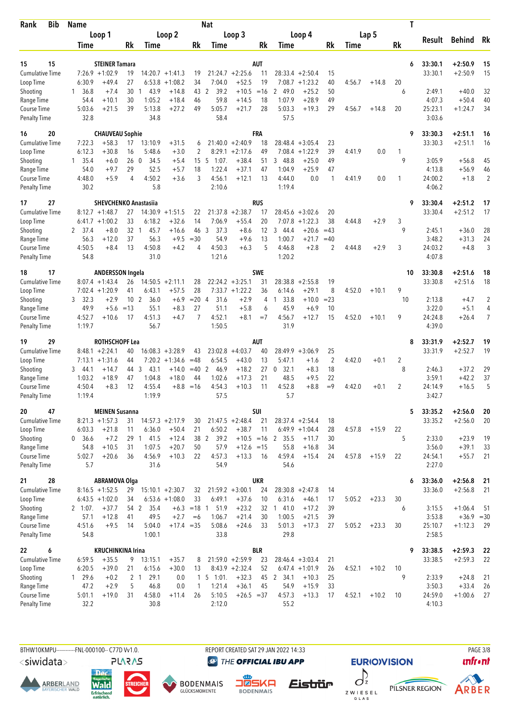| Rank                               | <b>Bib</b> | <b>Name</b>             |                              |            |                     |                    |                       | <b>Nat</b>       |                            |            |                     |                    |                |        |         | Τ       |                    |                           |                      |
|------------------------------------|------------|-------------------------|------------------------------|------------|---------------------|--------------------|-----------------------|------------------|----------------------------|------------|---------------------|--------------------|----------------|--------|---------|---------|--------------------|---------------------------|----------------------|
|                                    |            |                         | Loop 1                       |            |                     | Loop 2             |                       |                  | Loop 3                     |            |                     | Loop 4             |                |        | Lap 5   |         | Result             | Behind Rk                 |                      |
|                                    |            | Time                    |                              | Rk         | Time                |                    | Rk                    | Time             |                            | Rk         | Time                |                    | Rk             | Time   |         | Rk      |                    |                           |                      |
|                                    | 15         |                         | <b>STEINER Tamara</b>        |            |                     |                    |                       |                  |                            |            |                     |                    |                |        |         |         |                    |                           |                      |
| 15<br><b>Cumulative Time</b>       |            |                         | $7:26.9$ +1:02.9             | 19         |                     | $14:20.7 + 1:41.3$ | 19                    |                  | $21:24.7 + 2:25.6$         | AUT<br>11  |                     | $28:33.4 + 2:50.4$ | 15             |        |         | 6       | 33:30.1<br>33:30.1 | $+2:50.9$<br>$+2:50.9$    | 15<br>15             |
| Loop Time                          |            | 6:30.9                  | $+49.4$                      | 27         | 6:53.8              | $+1:08.2$          | 34                    | 7:04.0           | $+52.5$                    | 19         | 7:08.7              | $+1:23.2$          | 40             | 4:56.7 | $+14.8$ | 20      |                    |                           |                      |
| Shooting                           |            | 36.8<br>1               | $+7.4$                       | 30         | 43.9<br>-1          | $+14.8$            | 43                    | 39.2<br>2        | $+10.5$                    | $=16$      | 2 49.0              | $+25.2$            | 50             |        |         | 6       | 2:49.1             | $+40.0$                   | 32                   |
| Range Time                         |            | 54.4                    | $+10.1$                      | 30         | 1:05.2              | $+18.4$            | 46                    | 59.8             | $+14.5$                    | 18         | 1:07.9              | $+28.9$            | 49             |        |         |         | 4:07.3             | $+50.4$                   | 40                   |
| Course Time                        |            | 5:03.6                  | $+21.5$                      | 39         | 5:13.8              | $+27.2$            | 49                    | 5:05.7           | $+21.7$                    | 28         | 5:03.3              | $+19.3$            | 29             | 4:56.7 | $+14.8$ | 20      | 25:23.1            | $+1:24.7$                 | 34                   |
| <b>Penalty Time</b>                |            | 32.8                    |                              |            | 34.8                |                    |                       | 58.4             |                            |            | 57.5                |                    |                |        |         |         | 3:03.6             |                           |                      |
| 16                                 | 20         |                         | <b>CHAUVEAU Sophie</b>       |            |                     |                    |                       |                  |                            | FRA        |                     |                    |                |        |         | 9       | 33:30.3            | $+2:51.1$                 | 16                   |
| <b>Cumulative Time</b>             |            | 7:22.3                  | $+58.3$                      | 17         | 13:10.9             | $+31.5$            | 6                     |                  | $21:40.0 + 2:40.9$         | 18         |                     | $28:48.4 + 3:05.4$ | 23             |        |         |         | 33:30.3            | $+2:51.1$                 | 16                   |
| Loop Time                          |            | 6:12.3                  | $+30.8$                      | 16         | 5:48.6              | $+3.0$             | 2                     |                  | $8:29.1 + 2:17.6$          | 49         | 7:08.4              | $+1:22.9$          | 39             | 4:41.9 | 0.0     | 1       |                    |                           |                      |
| Shooting                           |            | $1 \quad 35.4$          | $+6.0$                       | 260        | 34.5                | $+5.4$             | 15 <sub>5</sub>       | 1:07.            | $+38.4$                    | 51         | 48.8<br>3           | $+25.0$            | 49             |        |         | 9       | 3:05.9             | $+56.8$                   | 45                   |
| Range Time<br>Course Time          |            | 54.0<br>4:48.0          | $+9.7$<br>$+5.9$             | 29<br>4    | 52.5<br>4:50.2      | $+5.7$<br>$+3.6$   | 18<br>3               | 1:22.4<br>4:56.1 | $+37.1$<br>$+12.1$         | 47<br>13   | 1:04.9<br>4:44.0    | $+25.9$<br>0.0     | 47<br>1        | 4:41.9 | 0.0     | 1       | 4:13.8<br>24:00.2  | $+56.9$<br>$+1.8$         | 46<br>$\overline{2}$ |
| <b>Penalty Time</b>                |            | 30.2                    |                              |            | 5.8                 |                    |                       | 2:10.6           |                            |            | 1:19.4              |                    |                |        |         |         | 4:06.2             |                           |                      |
| 17                                 | 27         |                         | <b>SHEVCHENKO Anastasiia</b> |            |                     |                    |                       |                  |                            | <b>RUS</b> |                     |                    |                |        |         | 9       | 33:30.4            | $+2:51.2$                 | 17                   |
| <b>Cumulative Time</b>             |            | 8:12.7                  | $+1:48.7$                    | 27         |                     | $14:30.9 +1:51.5$  | 22                    | 21:37.8          | $+2:38.7$                  | 17         | 28:45.6             | $+3:02.6$          | 20             |        |         |         | 33:30.4            | $+2:51.2$                 | 17                   |
| Loop Time                          |            |                         | $6:41.7 +1:00.2$             | 33         | 6:18.2              | $+32.6$            | 14                    | 7:06.9           | $+55.4$                    | 20         | 7:07.8              | $+1:22.3$          | 38             | 4:44.8 | $+2.9$  | 3       |                    |                           |                      |
| Shooting                           |            | 2 37.4                  | $+8.0$                       | 32 1       | 45.7                | $+16.6$            | 46 3                  | 37.3             | $+8.6$                     | 12         | 3 44.4              | $+20.6$            | $=43$          |        |         | 9       | 2:45.1             | $+36.0$                   | 28                   |
| Range Time                         |            | 56.3                    | $+12.0$                      | 37         | 56.3                | $+9.5$             | $=30$                 | 54.9             | $+9.6$                     | 13         | 1:00.7              | $+21.7$            | $=40$          |        |         |         | 3:48.2             | $+31.3$                   | 24                   |
| Course Time                        |            | 4:50.5                  | $+8.4$                       | 13         | 4:50.8              | $+4.2$             | 4                     | 4:50.3           | $+6.3$                     | 5          | 4:46.8              | $+2.8$             | 2              | 4:44.8 | $+2.9$  | 3       | 24:03.2            | $+4.8$                    | 3                    |
| <b>Penalty Time</b>                |            | 54.8                    |                              |            | 31.0                |                    |                       | 1:21.6           |                            |            | 1:20.2              |                    |                |        |         |         | 4:07.8             |                           |                      |
| 18                                 | 17         |                         | <b>ANDERSSON Ingela</b>      |            |                     |                    |                       |                  |                            | <b>SWE</b> |                     |                    |                |        |         | 10      | 33:30.8            | $+2:51.6$                 | 18                   |
| <b>Cumulative Time</b>             |            |                         | $8:07.4 +1:43.4$             | 26         |                     | $14:50.5 +2:11.1$  | 28                    |                  | $22:24.2 + 3:25.1$         | 31         | 28:38.8             | $+2:55.8$          | 19             |        |         |         | 33:30.8            | $+2:51.6$                 | 18                   |
| Loop Time<br>Shooting              |            | 3, 32.3                 | $7:02.4 +1:20.9$<br>$+2.9$   | 41<br>10   | 6:43.1<br>2<br>36.0 | $+57.5$<br>$+6.9$  | 28<br>$= 204$         | 31.6             | $7:33.7 +1:22.2$<br>$+2.9$ | 36<br>4    | 6:14.6<br>33.8<br>1 | $+29.1$<br>$+10.0$ | 8<br>$= 23$    | 4:52.0 | $+10.1$ | 9<br>10 | 2:13.8             | $+4.7$                    | $\overline{2}$       |
| Range Time                         |            | 49.9                    | $+5.6$                       | $=13$      | 55.1                | $+8.3$             | 27                    | 51.1             | $+5.8$                     | 6          | 45.9                | $+6.9$             | 10             |        |         |         | 3:22.0             | $+5.1$                    | 4                    |
| Course Time                        |            | 4:52.7                  | $+10.6$                      | 17         | 4:51.3              | $+4.7$             | $\overline{7}$        | 4:52.1           | $+8.1$                     | $=7$       | 4:56.7              | $+12.7$            | 15             | 4:52.0 | $+10.1$ | 9       | 24:24.8            | $+26.4$                   | 7                    |
| <b>Penalty Time</b>                |            | 1:19.7                  |                              |            | 56.7                |                    |                       | 1:50.5           |                            |            | 31.9                |                    |                |        |         |         | 4:39.0             |                           |                      |
| 19                                 | 29         |                         | ROTHSCHOPF Lea               |            |                     |                    |                       |                  |                            | AUT        |                     |                    |                |        |         | 8       | 33:31.9            | $+2:52.7$                 | 19                   |
| <b>Cumulative Time</b>             |            |                         | $8:48.1 + 2:24.1$            | 40         |                     | $16:08.3 + 3:28.9$ | 43                    | 23:02.8          | $+4:03.7$                  | 40         |                     | $28:49.9 + 3:06.9$ | 25             |        |         |         | 33:31.9            | $+2:52.7$                 | 19                   |
| Loop Time                          |            |                         | $7:13.1 + 1:31.6$            | 44         |                     | $7:20.2 +1:34.6$   | $=48$                 | 6:54.5           | $+43.0$                    | 13         | 5:47.1              | $+1.6$             | $\overline{2}$ | 4:42.0 | $+0.1$  | 2       |                    |                           |                      |
| Shooting                           |            | 3, 44.1                 | $+14.7$                      | 44         | 3<br>43.1           | $+14.0$            | $=40$                 | 2<br>46.9        | $+18.2$                    | 27         | 32.1<br>0           | $+8.3$             | 18             |        |         | 8       | 2:46.3             | $+37.2$                   | 29                   |
| Range Time<br><b>Course Time</b>   |            | 1:03.2<br>4:50.4        | $+18.9$<br>$+8.3$            | 47<br>12   | 1:04.8<br>4:55.4    | $+18.0$<br>$+8.8$  | 44<br>$=16$           | 1:02.6<br>4:54.3 | $+17.3$<br>$+10.3$         | 21<br>11   | 48.5<br>4:52.8      | $+9.5$<br>$+8.8$   | 22<br>$=9$     | 4:42.0 | $+0.1$  | 2       | 3:59.1<br>24:14.9  | $+42.2$<br>$+16.5$        | 37<br>5              |
| <b>Penalty Time</b>                |            | 1:19.4                  |                              |            | 1:19.9              |                    |                       | 57.5             |                            |            | 5.7                 |                    |                |        |         |         | 3:42.7             |                           |                      |
| 20                                 | 47         |                         | <b>MEINEN Susanna</b>        |            |                     |                    |                       |                  |                            | SUI        |                     |                    |                |        |         | 5       | 33:35.2            | $+2:56.0$                 | 20                   |
| <b>Cumulative Time</b>             |            |                         | $8:21.3 +1:57.3$             | 31         |                     | $14:57.3 +2:17.9$  | 30                    |                  | $21:47.5 + 2:48.4$         | 21         |                     | $28:37.4 +2:54.4$  | 18             |        |         |         | 33:35.2            | $+2:56.0$                 | 20                   |
| Loop Time                          |            | 6:03.3                  | $+21.8$                      | 11         | 6:36.0              | $+50.4$            | 21                    | 6:50.2           | $+38.7$                    | 11         |                     | $6:49.9 +1:04.4$   | 28             | 4:57.8 | $+15.9$ | 22      |                    |                           |                      |
| Shooting                           |            | 0, 36.6                 | $+7.2$                       |            | 29 1 41.5           | $+12.4$            |                       | 38 2 39.2        |                            |            | $+10.5 = 16$ 2 35.5 | $+11.7$            | 30             |        |         | 5       | 2:33.0             | $+23.9$                   | 19                   |
| Range Time                         |            | 54.8                    | $+10.5$                      | 31         | 1:07.5              | $+20.7$            | 50                    | 57.9             | $+12.6 = 15$               |            | 55.8                | $+16.8$            | 34             |        |         |         | 3:56.0             | $+39.1$                   | 33                   |
| Course Time                        |            | 5:02.7                  | $+20.6$                      | 36         | 4:56.9              | $+10.3$            | 22                    | 4:57.3           | $+13.3$                    | 16         | 4:59.4              | $+15.4$            | 24             | 4:57.8 | $+15.9$ | 22      | 24:54.1            | $+55.7$                   | 21                   |
| <b>Penalty Time</b>                |            | 5.7                     |                              |            | 31.6                |                    |                       | 54.9             |                            |            | 54.6                |                    |                |        |         |         | 2:27.0             |                           |                      |
| 21                                 | 28         |                         | <b>ABRAMOVA Olga</b>         |            |                     |                    |                       |                  |                            | <b>UKR</b> |                     |                    |                |        |         | 6       | 33:36.0            | $+2:56.8$                 | 21                   |
| <b>Cumulative Time</b>             |            |                         | $8:16.5 + 1:52.5$            | 29         |                     | $15:10.1 + 2:30.7$ | 32                    |                  | $21:59.2 +3:00.1$          | 24         |                     | $28:30.8 + 2:47.8$ | 14             |        |         |         | 33:36.0            | $+2:56.8$                 | 21                   |
| Loop Time                          |            |                         | $6:43.5 +1:02.0$             | 34         |                     | $6:53.6 +1:08.0$   | 33                    | 6:49.1           | $+37.6$                    | 10         | 6:31.6              | $+46.1$            | 17             | 5:05.2 | $+23.3$ | 30      |                    |                           |                      |
| Shooting<br>Range Time             |            | $2 \quad 1:07.$<br>57.1 | $+37.7$<br>$+12.8$           | 54 2<br>41 | 35.4<br>49.5        | $+2.7$             | $+6.3 = 18$ 1<br>$=6$ | 51.9<br>1:06.7   | $+23.2$<br>$+21.4$         | 32<br>30   | 141.0<br>1:00.5     | $+17.2$<br>$+21.5$ | 39<br>39       |        |         | 6       | 3:15.5<br>3:53.8   | $+1:06.4$<br>$+36.9 = 30$ | -51                  |
| Course Time                        |            | 4:51.6                  | $+9.5$                       | 14         | 5:04.0              | $+17.4 = 35$       |                       | 5:08.6           | $+24.6$                    | 33         | 5:01.3              | $+17.3$            | 27             | 5:05.2 | $+23.3$ | 30      | 25:10.7            | $+1:12.3$                 | 29                   |
| <b>Penalty Time</b>                |            | 54.8                    |                              |            | 1:00.1              |                    |                       | 33.8             |                            |            | 29.8                |                    |                |        |         |         | 2:58.5             |                           |                      |
| 22                                 | 6          |                         | <b>KRUCHINKINA Irina</b>     |            |                     |                    |                       |                  |                            | <b>BLR</b> |                     |                    |                |        |         | 9       | 33:38.5            | $+2:59.3$                 | - 22                 |
| <b>Cumulative Time</b>             |            | 6:59.5                  | $+35.5$                      | 9          | 13:15.1             | $+35.7$            | 8                     |                  | $21:59.0 + 2:59.9$         | 23         |                     | $28:46.4 + 3:03.4$ | 21             |        |         |         | 33:38.5            | $+2:59.3$                 | 22                   |
| Loop Time                          |            | 6:20.5                  | $+39.0$                      | 21         | 6:15.6              | $+30.0$            | 13                    |                  | $8:43.9 +2:32.4$           | 52         |                     | $6:47.4 +1:01.9$   | 26             | 4:52.1 | $+10.2$ | 10      |                    |                           |                      |
| Shooting                           |            | $1 \quad 29.6$          | $+0.2$                       |            | 2 1<br>29.1         | 0.0                |                       | $1\ 5\ 1:01.$    | $+32.3$                    | 45         | 2 34.1              | $+10.3$            | 25             |        |         | 9       | 2:33.9             | $+24.8$                   | 21                   |
| Range Time                         |            | 47.2                    | $+2.9$                       | 5          | 46.8                | 0.0                | $\mathbf{1}$          | 1:21.4           | $+36.1$                    | 45         | 54.9                | $+15.9$            | 33             |        |         |         | 3:50.3             | $+33.4$                   | 26                   |
| Course Time<br><b>Penalty Time</b> |            | 5:01.1<br>32.2          | $+19.0$                      | 31         | 4:58.0<br>30.8      | $+11.4$            | 26                    | 5:10.5<br>2:12.0 | $+26.5 = 37$               |            | 4:57.3<br>55.2      | $+13.3$            | 17             | 4:52.1 | $+10.2$ | 10      | 24:59.0<br>4:10.3  | $+1:00.6$                 | 27                   |
|                                    |            |                         |                              |            |                     |                    |                       |                  |                            |            |                     |                    |                |        |         |         |                    |                           |                      |

BTHW10KMPU-----------FNL-000100-- C77D W1.0. REPORT CREATED SAT 29 JAN 2022 14:33 RAGE 3/8

<siwidata>

**ARBERLAND** 





**DENMAIS** 

**@** THE OFFICIAL IBU APP





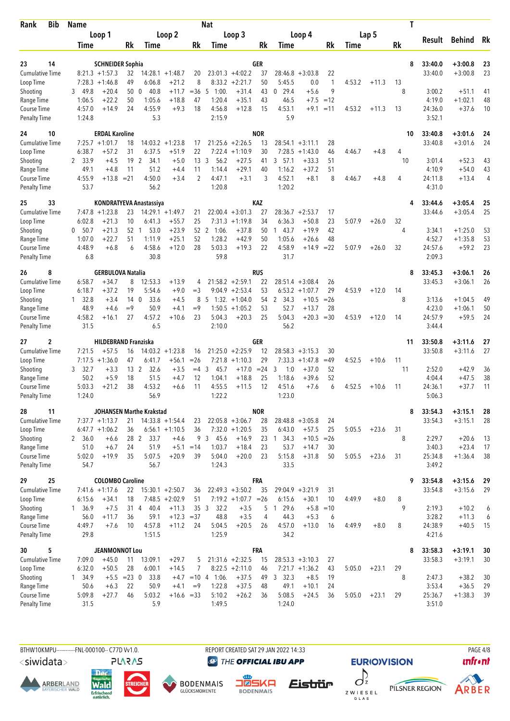| <b>Bib</b><br>Rank                  | <b>Name</b>         |                                       |                           |                          |                                         |                    | Nat                 |                                             |            |                                  |                            |              |        |         | Τ       |                   |                    |          |
|-------------------------------------|---------------------|---------------------------------------|---------------------------|--------------------------|-----------------------------------------|--------------------|---------------------|---------------------------------------------|------------|----------------------------------|----------------------------|--------------|--------|---------|---------|-------------------|--------------------|----------|
|                                     |                     | Loop 1                                |                           |                          | Loop 2                                  |                    |                     | Loop 3                                      |            |                                  | Loop 4                     |              |        | Lap 5   |         | Result            | Behind             | Rk       |
|                                     | Time                |                                       | Rk                        | Time                     |                                         | Rk                 | Time                |                                             | Rk         | Time                             |                            | Rk           | Time   |         | Rk      |                   |                    |          |
| 14<br>23                            |                     | <b>SCHNEIDER Sophia</b>               |                           |                          |                                         |                    |                     |                                             | GER        |                                  |                            |              |        |         | 8       | 33:40.0           | $+3:00.8$          | 23       |
| <b>Cumulative Time</b>              |                     | $8:21.3 +1:57.3$                      | 32                        |                          | $14:28.1 + 1:48.7$                      | 20                 |                     | $23:01.3 +4:02.2$                           | 37         | $28:46.8 + 3:03.8$               |                            | 22           |        |         |         | 33:40.0           | $+3:00.8$          | 23       |
| Loop Time                           |                     | $7:28.3 +1:46.8$                      | 49                        | 6:06.8                   | $+21.2$                                 | 8                  |                     | $8:33.2 +2:21.7$                            | 50         | 5:45.5                           | 0.0                        | $\mathbf{1}$ | 4:53.2 | $+11.3$ | 13      |                   |                    |          |
| Shooting                            | 3 49.8              | $+20.4$                               | 50                        | 40.8<br>$\mathbf{0}$     | $+11.7$                                 | $= 36$             | 1:00.<br>5          | $+31.4$                                     | 43         | $0$ 29.4                         | $+5.6$                     | 9            |        |         | 8       | 3:00.2            | $+51.1$            | 41       |
| Range Time                          | 1:06.5              | $+22.2$                               | 50                        | 1:05.6                   | $+18.8$                                 | 47                 | 1:20.4              | $+35.1$                                     | 43         | 46.5                             | $+7.5$                     | $=12$        |        |         |         | 4:19.0            | $+1:02.1$          | 48       |
| Course Time<br><b>Penalty Time</b>  | 4:57.0<br>1:24.8    | $+14.9$                               | 24                        | 4:55.9<br>5.3            | $+9.3$                                  | 18                 | 4:56.8<br>2:15.9    | $+12.8$                                     | 15         | 4:53.1<br>5.9                    | $+9.1$                     | $=11$        | 4:53.2 | $+11.3$ | 13      | 24:36.0<br>3:52.1 | $+37.6$            | 10       |
| 24<br>10                            |                     | <b>ERDAL Karoline</b>                 |                           |                          |                                         |                    |                     |                                             | <b>NOR</b> |                                  |                            |              |        |         | 10      | 33:40.8           | $+3:01.6$          | 24       |
| Cumulative Time                     |                     | $7:25.7 +1:01.7$                      | 18                        |                          | $14:03.2 +1:23.8$                       | 17                 |                     | $21:25.6 + 2:26.5$                          | 13         | $28:54.1 + 3:11.1$               |                            | 28           |        |         |         | 33:40.8           | $+3:01.6$          | 24       |
| Loop Time                           | 6:38.7              | $+57.2$                               | 31                        | 6:37.5                   | $+51.9$                                 | 22                 |                     | $7:22.4$ +1:10.9                            | 30         | 7:28.5                           | $+1:43.0$                  | 46           | 4:46.7 | $+4.8$  | 4       |                   |                    |          |
| Shooting<br>Range Time              | 33.9<br>2<br>49.1   | $+4.5$<br>$+4.8$                      | 19<br>11                  | 2<br>34.1<br>51.2        | $+5.0$<br>$+4.4$                        | 13<br>11           | 3<br>56.2<br>1:14.4 | $+27.5$<br>$+29.1$                          | 41<br>40   | 3, 57.1<br>1:16.2                | $+33.3$<br>$+37.2$         | 51<br>51     |        |         | 10      | 3:01.4<br>4:10.9  | $+52.3$<br>$+54.0$ | 43<br>43 |
| Course Time                         | 4:55.9              | $+13.8 = 21$                          |                           | 4:50.0                   | $+3.4$                                  | 2                  | 4:47.1              | $+3.1$                                      | 3          | 4:52.1                           | $+8.1$                     | 8            | 4:46.7 | $+4.8$  | 4       | 24:11.8           | $+13.4$            | 4        |
| <b>Penalty Time</b>                 | 53.7                |                                       |                           | 56.2                     |                                         |                    | 1:20.8              |                                             |            | 1:20.2                           |                            |              |        |         |         | 4:31.0            |                    |          |
| 33<br>25                            |                     |                                       |                           | KONDRATYEVA Anastassiya  |                                         |                    |                     |                                             | KAZ        |                                  |                            |              |        |         | 4       | 33:44.6           | $+3:05.4$          | 25       |
| <b>Cumulative Time</b><br>Loop Time | 6:02.8              | $7:47.8$ +1:23.8<br>$+21.3$           | 23<br>10                  | 6:41.3                   | $14:29.1 + 1:49.7$<br>$+55.7$           | 21<br>25           |                     | $22:00.4 +3:01.3$<br>$7:31.3 +1:19.8$       | 27<br>34   | 28:36.7<br>6:36.3                | $+2:53.7$<br>$+50.8$       | 17<br>23     | 5:07.9 | $+26.0$ | 32      | 33:44.6           | $+3:05.4$          | 25       |
| Shooting                            | 0, 50.7             | $+21.3$                               | 52 1                      | 53.0                     | $+23.9$                                 |                    | 52 2 1:06.          | $+37.8$                                     | 50         | 143.7                            | $+19.9$                    | 42           |        |         | 4       | 3:34.1            | $+1:25.0$          | 53       |
| Range Time                          | 1:07.0              | $+22.7$                               | 51                        | 1:11.9                   | $+25.1$                                 | 52                 | 1:28.2              | $+42.9$                                     | 50         | 1:05.6                           | $+26.6$                    | 48           |        |         |         | 4:52.7            | $+1:35.8$          | 53       |
| Course Time                         | 4:48.9              | $+6.8$                                | 6                         | 4:58.6                   | $+12.0$                                 | 28                 | 5:03.3              | $+19.3$                                     | 22         | 4:58.9                           | $+14.9$                    | $= 22$       | 5:07.9 | $+26.0$ | 32      | 24:57.6           | $+59.2$            | 23       |
| <b>Penalty Time</b>                 | 6.8                 |                                       |                           | 30.8                     |                                         |                    | 59.8                |                                             |            | 31.7                             |                            |              |        |         |         | 2:09.3            |                    |          |
| 8<br>26                             |                     | <b>GERBULOVA Natalia</b>              |                           |                          |                                         |                    |                     |                                             | <b>RUS</b> |                                  |                            |              |        |         | 8       | 33:45.3           | $+3:06.1$          | 26       |
| <b>Cumulative Time</b>              | 6:58.7              | $+34.7$                               | 8                         | 12:53.3                  | $+13.9$                                 | 4                  |                     | $21:58.2 +2:59.1$                           | 22         | $28:51.4 + 3:08.4$               |                            | 26           |        |         |         | 33:45.3           | $+3:06.1$          | 26       |
| Loop Time<br>Shooting               | 6:18.7<br>32.8<br>1 | $+37.2$<br>$+3.4$                     | 19<br>14 <sub>0</sub>     | 5:54.6<br>33.6           | $+9.0$<br>$+4.5$                        | $=$ 3<br>8         | -5                  | $9:04.9 +2:53.4$<br>$1:32. +1:04.0$         | 53<br>54   | 6:53.2<br>$\overline{2}$<br>34.3 | $+1:07.7$<br>$+10.5$       | 29<br>$=26$  | 4:53.9 | $+12.0$ | 14<br>8 | 3:13.6            | $+1:04.5$          | 49       |
| Range Time                          | 48.9                | $+4.6$                                | $=9$                      | 50.9                     | $+4.1$                                  | $=9$               |                     | $1:50.5 + 1:05.2$                           | 53         | 52.7                             | $+13.7$                    | 28           |        |         |         | 4:23.0            | $+1:06.1$          | 50       |
| Course Time                         | 4:58.2              | $+16.1$                               | 27                        | 4:57.2                   | $+10.6$                                 | 23                 | 5:04.3              | $+20.3$                                     | 25         | 5:04.3                           | $+20.3$                    | $= 30$       | 4:53.9 | $+12.0$ | 14      | 24:57.9           | $+59.5$            | 24       |
| <b>Penalty Time</b>                 | 31.5                |                                       |                           | 6.5                      |                                         |                    | 2:10.0              |                                             |            | 56.2                             |                            |              |        |         |         | 3:44.4            |                    |          |
| 2<br>27                             |                     | <b>HILDEBRAND Franziska</b>           |                           |                          |                                         |                    |                     |                                             | GER        |                                  |                            |              |        |         | 11      | 33:50.8           | $+3:11.6$          | 27       |
| <b>Cumulative Time</b><br>Loop Time | 7:21.5              | $+57.5$<br>$7:17.5 + 1:36.0$          | 16<br>47                  | 6:41.7                   | $14:03.2 +1:23.8$<br>$+56.1$            | 16<br>$=26$        | 7:21.8              | $21:25.0 +2:25.9$<br>$+1:10.3$              | 12<br>29   | 28:58.3<br>7:33.3                | $+3:15.3$<br>$+1:47.8$     | 30<br>$=49$  | 4:52.5 | $+10.6$ | 11      | 33:50.8           | $+3:11.6$          | 27       |
| Shooting                            | 32.7<br>3           | $+3.3$                                | 13 <sup>2</sup>           | 32.6                     | $+3.5$                                  | $=4$               | 3<br>45.7           | $+17.0$                                     | $= 24$     | 3<br>1:0                         | $+37.0$                    | 52           |        |         | 11      | 2:52.0            | $+42.9$            | 36       |
| Range Time                          | 50.2                | $+5.9$                                | 18                        | 51.5                     | $+4.7$                                  | 12                 | 1:04.1              | $+18.8$                                     | 25         | 1:18.6                           | $+39.6$                    | 52           |        |         |         | 4:04.4            | $+47.5$            | 38       |
| <b>Course Time</b>                  | 5:03.3              | $+21.2$                               | 38                        | 4:53.2                   | $+6.6$                                  | 11                 | 4:55.5              | $+11.5$                                     | 12         | 4:51.6                           | $+7.6$                     | 6            | 4:52.5 | $+10.6$ | 11      | 24:36.1           | $+37.7$            | 11       |
| <b>Penalty Time</b>                 | 1:24.0              |                                       |                           | 56.9                     |                                         |                    | 1:22.2              |                                             |            | 1:23.0                           |                            |              |        |         |         | 5:06.3            |                    |          |
| 28<br>11                            |                     |                                       |                           | JOHANSEN Marthe Krakstad |                                         |                    |                     |                                             | <b>NOR</b> |                                  |                            |              |        |         | 8       | 33:54.3           | $+3:15.1$          | 28       |
| <b>Cumulative Time</b><br>Loop Time |                     | $7:37.7 +1:13.7$<br>$6:47.7 + 1:06.2$ | 21<br>36                  |                          | $14:33.8 + 1:54.4$<br>$6:56.1 + 1:10.5$ | 23<br>36           |                     | $22:05.8 + 3:06.7$<br>$7:32.0 +1:20.5$      | 28<br>35   | $28:48.8 + 3:05.8$<br>6:43.0     | $+57.5$                    | 24<br>25     | 5:05.5 | $+23.6$ | 31      | 33:54.3           | $+3:15.1$          | 28       |
| Shooting                            | 2, 36.0             | $+6.6$                                |                           | 28 2<br>33.7             | $+4.6$                                  | 9                  | 45.6<br>3           | $+16.9$                                     | 23         | $1 \quad 34.3$                   | $+10.5$                    | $=26$        |        |         | 8       | 2:29.7            | $+20.6$            | 13       |
| Range Time                          | 51.0                | $+6.7$                                | 24                        | 51.9                     |                                         | $+5.1 = 14$        | 1:03.7              | $+18.4$                                     | 23         | 53.7                             | $+14.7$                    | 30           |        |         |         | 3:40.3            | $+23.4$            | 17       |
| Course Time                         | 5:02.0              | $+19.9$                               | 35                        | 5:07.5                   | $+20.9$                                 | 39                 | 5:04.0              | $+20.0$                                     | 23         | 5:15.8                           | $+31.8$                    | 50           | 5:05.5 | $+23.6$ | 31      | 25:34.8           | $+1:36.4$          | 38       |
| <b>Penalty Time</b>                 | 54.7                |                                       |                           | 56.7                     |                                         |                    | 1:24.3              |                                             |            | 33.5                             |                            |              |        |         |         | 3:49.2            |                    |          |
| 29<br>25                            |                     | <b>COLOMBO Caroline</b>               |                           |                          |                                         |                    |                     |                                             | FRA        |                                  |                            |              |        |         | 9       | 33:54.8           | $+3:15.6$          | 29       |
| <b>Cumulative Time</b><br>Loop Time | 6:15.6              | $7:41.6 +1:17.6$<br>$+34.1$           | 22<br>18                  | $15:30.1 + 2:50.7$       | $7:48.5 + 2:02.9$                       | 36<br>51           |                     | $22:49.3 + 3:50.2$<br>$7:19.2 +1:07.7 = 26$ | 35         | 29:04.9 +3:21.9<br>6:15.6        | $+30.1$                    | 31<br>10     | 4:49.9 | $+8.0$  | 8       | 33:54.8           | $+3:15.6$          | 29       |
| Shooting                            | 1, 36.9             | $+7.5$                                | 31 4                      | 40.4                     | $+11.3$                                 | 35 <sub>3</sub>    | 32.2                | $+3.5$                                      | 5          | 29.6<br>1                        | $+5.8$                     | $=10$        |        |         | 9       | 2:19.3            | $+10.2$            | 6        |
| Range Time                          | 56.0                | $+11.7$                               | 36                        | 59.1                     | $+12.3 = 37$                            |                    | 48.8                | $+3.5$                                      | 4          | 44.3                             | $+5.3$                     | 6            |        |         |         | 3:28.2            | $+11.3$            | 6        |
| Course Time                         | 4:49.7              | $+7.6$                                | 10                        | 4:57.8                   | $+11.2$                                 | 24                 | 5:04.5              | $+20.5$                                     | 26         | 4:57.0                           | $+13.0$                    | 16           | 4:49.9 | $+8.0$  | 8       | 24:38.9           | $+40.5$            | 15       |
| <b>Penalty Time</b>                 | 29.8                |                                       |                           | 1:51.5                   |                                         |                    | 1:25.9              |                                             |            | 34.2                             |                            |              |        |         |         | 4:21.6            |                    |          |
| 5<br>30                             |                     | <b>JEANMONNOT Lou</b>                 |                           |                          |                                         |                    |                     |                                             | <b>FRA</b> |                                  |                            |              |        |         | 8       | 33:58.3           | $+3:19.1$          | 30       |
| <b>Cumulative Time</b>              | 7:09.0              | $+45.0$                               | 11                        | 13:09.1                  | $+29.7$                                 | 5                  |                     | $21:31.6 + 2:32.5$                          | 15         | $28:53.3 + 3:10.3$               |                            | 27           |        |         |         | 33:58.3           | $+3:19.1$          | 30       |
| Loop Time<br>Shooting               | 6:32.0<br>1 34.9    | $+50.5$                               | 28<br>$+5.5 = 23 \quad 0$ | 6:00.1<br>33.8           | $+14.5$                                 | 7<br>$+4.7$ = 10 4 | 1:06.               | $8:22.5 +2:11.0$<br>$+37.5$                 | 46<br>49   | 3, 32.3                          | $7:21.7 +1:36.2$<br>$+8.5$ | 43<br>19     | 5:05.0 | $+23.1$ | 29<br>8 | 2:47.3            | $+38.2$            | 30       |
| Range Time                          | 50.6                | $+6.3$                                | 22                        | 50.9                     | $+4.1$                                  | $=9$               | 1:22.8              | $+37.5$                                     | 48         | 49.1                             | $+10.1$                    | 24           |        |         |         | 3:53.4            | $+36.5$            | 29       |
| Course Time                         | 5:09.8              | $+27.7$                               | 46                        | 5:03.2                   | $+16.6 = 33$                            |                    | 5:10.2              | $+26.2$                                     | 36         | 5:08.5                           | $+24.5$                    | 36           | 5:05.0 | $+23.1$ | 29      | 25:36.7           | $+1:38.3$          | 39       |
| <b>Penalty Time</b>                 | 31.5                |                                       |                           | 5.9                      |                                         |                    | 1:49.5              |                                             |            | 1:24.0                           |                            |              |        |         |         | 3:51.0            |                    |          |

BTHW10KMPU-----------FNL-000100-- C77D W1.0. REPORT CREATED SAT 29 JAN 2022 14:33 RAGE 4/8

<siwidata>

**ARBERLAND** 







**DENMAIS** 



**EURIO)VISION** 

PILSNER REGION



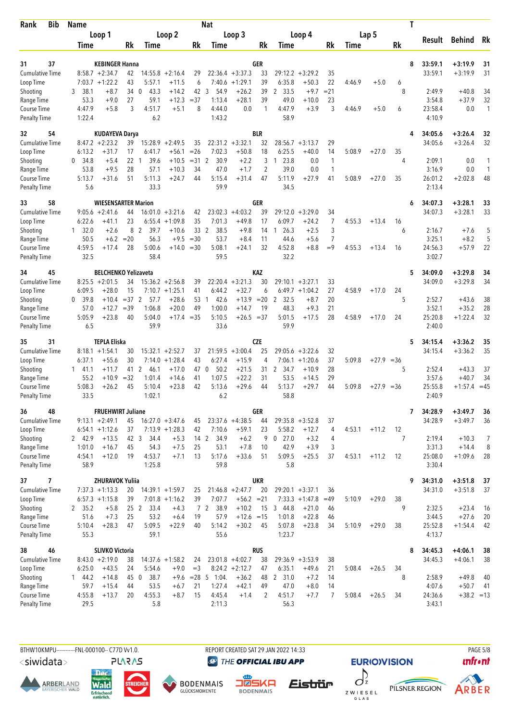| Bib<br>Rank                        | <b>Name</b>                 |                                   |                                        |                        | <b>Nat</b>             |                                       |                      |                    |                               |                    |        |         | Τ     |                    |                        |                    |
|------------------------------------|-----------------------------|-----------------------------------|----------------------------------------|------------------------|------------------------|---------------------------------------|----------------------|--------------------|-------------------------------|--------------------|--------|---------|-------|--------------------|------------------------|--------------------|
|                                    | Loop 1                      |                                   | Loop 2                                 |                        |                        | Loop 3                                |                      |                    | Loop 4                        |                    |        | Lap 5   |       |                    |                        | Rk                 |
|                                    | Time                        | Rk                                | Time                                   | Rk                     | Time                   |                                       | Rk                   | Time               |                               | Rk                 | Time   |         | Rk    | Result             | <b>Behind</b>          |                    |
|                                    |                             |                                   |                                        |                        |                        |                                       |                      |                    |                               |                    |        |         |       |                    |                        |                    |
| 37<br>31<br><b>Cumulative Time</b> | $8:58.7 + 2:34.7$           | <b>KEBINGER Hanna</b><br>42       | 14:55.8<br>$+2:16.4$                   | 29                     |                        | $22:36.4 + 3:37.3$                    | GER<br>33            | 29:12.2            | $+3:29.2$                     | 35                 |        |         | 8     | 33:59.1<br>33:59.1 | $+3:19.9$<br>$+3:19.9$ | 31<br>31           |
| Loop Time                          | $7:03.7 +1:22.2$            | 43                                | 5:57.1<br>$+11.5$                      | 6                      | 7:40.6                 | $+1:29.1$                             | 39                   | 6:35.8             | $+50.3$                       | 22                 | 4:46.9 | $+5.0$  | 6     |                    |                        |                    |
| Shooting                           | 38.1<br>3                   | $+8.7$<br>34                      | 43.3<br>$+14.2$<br>$\mathbf{0}$        | 42                     | 3<br>54.9              | $+26.2$                               | 39                   | 2 33.5             | $+9.7$                        | $= 21$             |        |         | 8     | 2:49.9             | $+40.8$                | 34                 |
| Range Time                         | 53.3                        | $+9.0$<br>27                      | 59.1<br>$+12.3$                        | $=37$                  | 1:13.4                 | $+28.1$                               | 39                   | 49.0               | $+10.0$                       | 23                 |        |         |       | 3:54.8             | $+37.9$                | 32                 |
| Course Time                        | 4:47.9                      | 3<br>$+5.8$                       | 4:51.7<br>$+5.1$                       | 8                      | 4:44.0                 | 0.0                                   | 1                    | 4:47.9             | $+3.9$                        | 3                  | 4:46.9 | $+5.0$  | 6     | 23:58.4            | 0.0                    | $\mathbf{1}$       |
| <b>Penalty Time</b>                | 1:22.4                      |                                   | 6.2                                    |                        | 1:43.2                 |                                       |                      | 58.9               |                               |                    |        |         |       | 4:10.9             |                        |                    |
| 54<br>32                           |                             | <b>KUDAYEVA Darya</b>             |                                        |                        |                        |                                       | <b>BLR</b>           |                    |                               |                    |        |         |       | 34:05.6            | $+3:26.4$              | 32                 |
| Cumulative Time                    | $8:47.2 +2:23.2$            | 39                                | 15:28.9<br>$+2:49.5$                   | 35                     |                        | $22:31.2 +3:32.1$                     | 32                   |                    | $28:56.7 + 3:13.7$            | 29                 |        |         |       | 34:05.6            | $+3:26.4$              | 32                 |
| Loop Time                          | 6:13.2                      | $+31.7$<br>17                     | $+56.1$<br>6:41.7                      | $=26$                  | 7:02.3                 | $+50.8$                               | 18                   | 6:25.5             | $+40.0$                       | 14                 | 5:08.9 | $+27.0$ | 35    |                    |                        |                    |
| Shooting                           | 34.8<br>0                   | 22<br>$+5.4$                      | 39.6<br>$+10.5$<br>$\mathbf{1}$        | $=31.2$                | 30.9                   | $+2.2$                                | 3                    | 23.8<br>1          | 0.0                           | $\mathbf{1}$       |        |         | 4     | 2:09.1             | 0.0                    |                    |
| Range Time                         | 53.8<br>5:13.7              | $+9.5$<br>28<br>$+31.6$<br>51     | 57.1<br>$+10.3$<br>5:11.3<br>$+24.7$   | 34<br>44               | 47.0<br>5:15.4         | $+1.7$<br>$+31.4$                     | $\overline{2}$<br>47 | 39.0<br>5:11.9     | 0.0<br>$+27.9$                | $\mathbf{1}$<br>41 | 5:08.9 | $+27.0$ | 35    | 3:16.9<br>26:01.2  | 0.0<br>$+2:02.8$       | $\mathbf{1}$<br>48 |
| Course Time<br><b>Penalty Time</b> | 5.6                         |                                   | 33.3                                   |                        | 59.9                   |                                       |                      | 34.5               |                               |                    |        |         |       | 2:13.4             |                        |                    |
|                                    |                             |                                   |                                        |                        |                        |                                       |                      |                    |                               |                    |        |         |       |                    |                        |                    |
| 58<br>33<br><b>Cumulative Time</b> | $9:05.6 + 2:41.6$           | <b>WIESENSARTER Marion</b><br>44  | $16:01.0 + 3:21.6$                     | 42                     |                        | $23:02.3 +4:03.2$                     | GER<br>39            | 29:12.0            | $+3:29.0$                     | 34                 |        |         | 6     | 34:07.3<br>34:07.3 | $+3:28.1$<br>$+3:28.1$ | 33<br>33           |
| Loop Time                          | 6:22.6                      | 23<br>$+41.1$                     | $+1:09.8$<br>6:55.4                    | 35                     | 7:01.3                 | $+49.8$                               | 17                   | 6:09.7             | $+24.2$                       | 7                  | 4:55.3 | $+13.4$ | 16    |                    |                        |                    |
| Shooting                           | $1 \quad 32.0$              | $+2.6$                            | 8 2<br>39.7<br>$+10.6$                 | 33 2                   | 38.5                   | $+9.8$                                | 14                   | 26.3<br>1          | $+2.5$                        | 3                  |        |         | 6     | 2:16.7             | $+7.6$                 | 5                  |
| Range Time                         | 50.5                        | $+6.2$<br>$=20$                   | 56.3<br>$+9.5$                         | $= 30$                 | 53.7                   | $+8.4$                                | 11                   | 44.6               | +5.6                          | 7                  |        |         |       | 3:25.1             | $+8.2$                 | 5                  |
| Course Time                        | 4:59.5                      | 28<br>$+17.4$                     | 5:00.6                                 | $+14.0 = 30$           | 5:08.1                 | $+24.1$                               | 32                   | 4:52.8             | $+8.8$                        | $=9$               | 4:55.3 | $+13.4$ | 16    | 24:56.3            | $+57.9$                | 22                 |
| <b>Penalty Time</b>                | 32.5                        |                                   | 58.4                                   |                        | 59.5                   |                                       |                      | 32.2               |                               |                    |        |         |       | 3:02.7             |                        |                    |
| 45<br>34                           |                             | <b>BELCHENKO Yelizaveta</b>       |                                        |                        |                        |                                       | KAZ                  |                    |                               |                    |        |         | 5     | 34:09.0            | $+3:29.8$              | 34                 |
| Cumulative Time                    | $8:25.5 + 2:01.5$           | 34                                | $15:36.2 + 2:56.8$                     | 39                     |                        | $22:20.4 + 3:21.3$                    | 30                   | $29:10.1 + 3:27.1$ |                               | 33                 |        |         |       | 34:09.0            | $+3:29.8$              | 34                 |
| Loop Time                          | 6:09.5                      | 15<br>$+28.0$                     | $7:10.7 + 1:25.1$                      | 41                     | 6:44.2                 | $+32.7$                               | 6                    |                    | $6:49.7 + 1:04.2$             | 27                 | 4:58.9 | $+17.0$ | 24    |                    |                        |                    |
| Shooting                           | 39.8<br>0                   | $=37$ 2<br>$+10.4$                | $+28.6$<br>57.7                        | 53                     | 42.6<br>-1             | $+13.9$                               | $=20$                | 2<br>32.5          | $+8.7$                        | 20                 |        |         | 5     | 2:52.7             | $+43.6$                | 38                 |
| Range Time<br>Course Time          | 57.0<br>5:05.9              | $+12.7$<br>$=39$<br>40<br>$+23.8$ | 1:06.8<br>$+20.0$<br>5:04.0            | 49<br>$+17.4 = 35$     | 1:00.0<br>5:10.5       | $+14.7$<br>$+26.5 = 37$               | 19                   | 48.3<br>5:01.5     | $+9.3$<br>$+17.5$             | 21<br>28           | 4:58.9 | $+17.0$ | 24    | 3:52.1<br>25:20.8  | $+35.2$<br>$+1:22.4$   | 28<br>32           |
| <b>Penalty Time</b>                | 6.5                         |                                   | 59.9                                   |                        | 33.6                   |                                       |                      | 59.9               |                               |                    |        |         |       | 2:40.0             |                        |                    |
|                                    |                             |                                   |                                        |                        |                        |                                       |                      |                    |                               |                    |        |         |       |                    |                        |                    |
| 31<br>35<br><b>Cumulative Time</b> | $8:18.1 + 1:54.1$           | <b>TEPLA Eliska</b><br>30         | $15:32.1 + 2:52.7$                     | 37                     |                        | $21:59.5 + 3:00.4$                    | CZE<br>25            |                    | $29:05.6 + 3:22.6$            | 32                 |        |         | 5     | 34:15.4<br>34:15.4 | $+3:36.2$<br>$+3:36.2$ | 35<br>35           |
| Loop Time                          | 6:37.1                      | 30<br>$+55.6$                     | 7:14.0<br>$+1:28.4$                    | 43                     | 6:27.4                 | $+15.9$                               | 4                    | 7:06.1             | $+1:20.6$                     | 37                 | 5:09.8 | $+27.9$ | $=36$ |                    |                        |                    |
| Shooting                           | $1 \quad 41.1$              | $+11.7$<br>41 2                   | 46.1<br>$+17.0$                        | 47                     | 50.2<br>0              | $+21.5$                               | 31                   | 2 34.7             | $+10.9$                       | 28                 |        |         | 5     | 2:52.4             | $+43.3$                | 37                 |
| Range Time                         | 55.2                        | $=32$<br>$+10.9$                  | 1:01.4<br>$+14.6$                      | 41                     | 1:07.5                 | $+22.2$                               | 31                   | 53.5               | $+14.5$                       | 29                 |        |         |       | 3:57.6             | $+40.7$                | 34                 |
| Course Time                        | 5:08.3                      | $+26.2$<br>45                     | 5:10.4<br>$+23.8$                      | 42                     | 5:13.6                 | $+29.6$                               | 44                   | 5:13.7             | $+29.7$                       | 44                 | 5:09.8 | $+27.9$ | $=36$ | 25:55.8            | $+1:57.4 = 45$         |                    |
| <b>Penalty Time</b>                | 33.5                        |                                   | 1:02.1                                 |                        | 6.2                    |                                       |                      | 58.8               |                               |                    |        |         |       | 2:40.9             |                        |                    |
| 36<br>48                           |                             | <b>FRUEHWIRT Juliane</b>          |                                        |                        |                        |                                       | <b>GER</b>           |                    |                               |                    |        |         | 7     | 34:28.9            | $+3:49.7$              | 36                 |
| Cumulative Time                    | $9:13.1 + 2:49.1$           | 45                                | $16:27.0 + 3:47.6$                     | 45                     |                        | $23:37.6 +4:38.5$                     | 44                   | $29:35.8 + 3:52.8$ |                               | 37                 |        |         |       | 34:28.9            | $+3:49.7$              | 36                 |
| Loop Time                          | $6:54.1 + 1:12.6$           | 37                                | $7:13.9 +1:28.3$                       | 42                     | 7:10.6                 | $+59.1$                               | 23                   | 5:58.2             | $+12.7$                       | 4                  | 4:53.1 | $+11.2$ | 12    |                    |                        |                    |
| Shooting<br>Range Time             | 2 42.9<br>1:01.0            | $+13.5$<br>42 3<br>$+16.7$<br>45  | 34.4<br>$+5.3$<br>54.3<br>$+7.5$       | 14 2<br>25             | 34.9<br>53.1           | $+6.2$<br>$+7.8$                      | 9<br>10              | $0$ 27.0<br>42.9   | $+3.2$<br>$+3.9$              | 4<br>3             |        |         | 7     | 2:19.4<br>3:31.3   | $+10.3$<br>$+14.4$     | 7<br>8             |
| Course Time                        | 4:54.1                      | $+12.0$<br>19                     | 4:53.7<br>$+7.1$                       | 13                     | 5:17.6                 | $+33.6$                               | 51                   | 5:09.5             | $+25.5$                       | 37                 | 4:53.1 | $+11.2$ | 12    | 25:08.0            | $+1:09.6$              | 28                 |
| <b>Penalty Time</b>                | 58.9                        |                                   | 1:25.8                                 |                        | 59.8                   |                                       |                      | 5.8                |                               |                    |        |         |       | 3:30.4             |                        |                    |
| 7<br>37                            |                             | <b>ZHURAVOK Yuliia</b>            |                                        |                        |                        |                                       | <b>UKR</b>           |                    |                               |                    |        |         | 9     | 34:31.0            | $+3:51.8$              | 37                 |
| Cumulative Time                    | $7:37.3 +1:13.3$            | 20                                | $14:39.1 + 1:59.7$                     | 25                     |                        | $21:46.8 + 2:47.7$                    | 20                   | $29:20.1 + 3:37.1$ |                               | 36                 |        |         |       | 34:31.0            | $+3:51.8$              | 37                 |
| Loop Time                          | $6:57.3 +1:15.8$            | 39                                | $7:01.8 +1:16.2$                       | 39                     | 7:07.7                 | $+56.2 = 21$                          |                      |                    | $7:33.3 +1:47.8$              | $=49$              | 5:10.9 | $+29.0$ | 38    |                    |                        |                    |
| Shooting                           | 2 35.2                      | $+5.8$<br>25 <sub>2</sub>         | 33.4<br>$+4.3$                         |                        | 7 <sub>2</sub><br>38.9 | $+10.2$                               | 15                   | 3 44.8             | $+21.0$                       | 46                 |        |         | 9     | 2:32.5             | $+23.4$                | 16                 |
| Range Time                         | 51.6                        | $+7.3$<br>25                      | 53.2<br>$+6.4$                         | 19                     | 57.9                   | $+12.6 = 15$                          |                      | 1:01.8             | $+22.8$                       | 46                 |        |         |       | 3:44.5             | $+27.6$                | 20                 |
| Course Time                        | 5:10.4                      | 47<br>$+28.3$                     | 5:09.5<br>$+22.9$                      | 40                     | 5:14.2                 | $+30.2$                               | 45                   | 5:07.8             | $+23.8$                       | 34                 | 5:10.9 | $+29.0$ | 38    | 25:52.8            | $+1:54.4$              | 42                 |
| <b>Penalty Time</b>                | 55.3                        |                                   | 59.1                                   |                        | 55.6                   |                                       |                      | 1:23.7             |                               |                    |        |         |       | 4:13.7             |                        |                    |
| 38<br>46                           |                             | <b>SLIVKO Victoria</b>            |                                        |                        |                        |                                       | <b>RUS</b>           |                    |                               |                    |        |         | 8     | 34:45.3            | $+4:06.1$              | 38                 |
| <b>Cumulative Time</b>             | $8:43.0 + 2:19.0$<br>6:25.0 | 38<br>$+43.5$                     | $14:37.6 + 1:58.2$<br>5:54.6<br>$+9.0$ | 24                     |                        | $23:01.8 +4:02.7$<br>$8:24.2 +2:12.7$ | 38                   | 6:35.1             | $29:36.9 + 3:53.9$<br>$+49.6$ | 38                 | 5:08.4 | $+26.5$ | 34    | 34:45.3            | $+4:06.1$              | 38                 |
| Loop Time<br>Shooting              | 144.2                       | 24<br>$+14.8$<br>45 0             | 38.7                                   | $=$ 3<br>$+9.6$ = 28 5 | 1:04.                  | $+36.2$                               | 47<br>48             | 2 31.0             | $+7.2$                        | 21<br>14           |        |         | 8     | 2:58.9             | $+49.8$                | 40                 |
| Range Time                         | 59.7                        | $+15.4$<br>44                     | 53.5<br>$+6.7$                         | 21                     | 1:27.4                 | $+42.1$                               | 49                   | 47.0               | $+8.0$                        | 14                 |        |         |       | 4:07.6             | $+50.7$                | -41                |
| Course Time                        | 4:55.8                      | $+13.7$<br>20                     | 4:55.3<br>$+8.7$                       | 15                     | 4:45.4                 | $+1.4$                                | 2                    | 4:51.7             | $+7.7$                        | 7                  | 5:08.4 | $+26.5$ | 34    | 24:36.6            | $+38.2 = 13$           |                    |
| <b>Penalty Time</b>                | 29.5                        |                                   | 5.8                                    |                        | 2:11.3                 |                                       |                      | 56.3               |                               |                    |        |         |       | 3:43.1             |                        |                    |
|                                    |                             |                                   |                                        |                        |                        |                                       |                      |                    |                               |                    |        |         |       |                    |                        |                    |

BTHW10KMPU-----------FNL-000100-- C77D W1.0. REPORT CREATED SAT 29 JAN 2022 14:33 REPORT CREATED SAT 29 JAN 2022 14:33

<siwidata>

**ARBERLAND** 





**BODENMAIS** 

**DENMAIS** 

Eistrür

**@** THE OFFICIAL IBU APP



*<u><u>Infront</u>*</u>



**EURIO)VISION** 

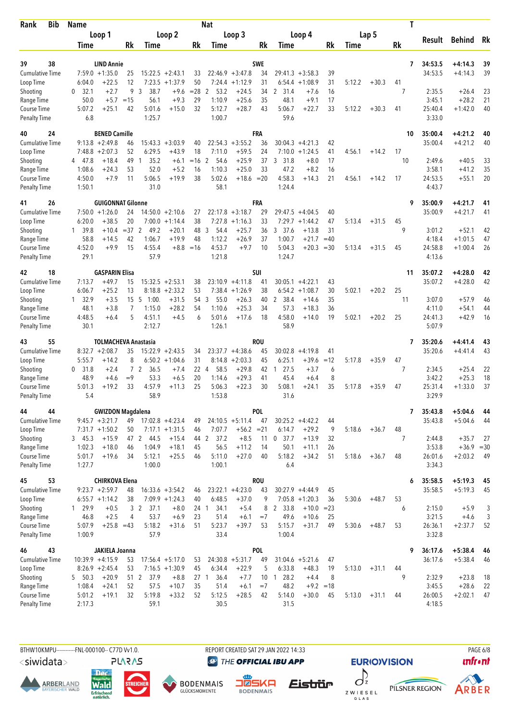| <b>Bib</b><br>Rank                        | <b>Name</b>       |                                       |                |                        |                              |          | <b>Nat</b>             |                             |                  |                      |                                  |          |             |         | Τ        |                    |                        |          |
|-------------------------------------------|-------------------|---------------------------------------|----------------|------------------------|------------------------------|----------|------------------------|-----------------------------|------------------|----------------------|----------------------------------|----------|-------------|---------|----------|--------------------|------------------------|----------|
|                                           | Loop 1            |                                       |                |                        | Loop 2                       |          |                        | Loop 3                      |                  |                      | Loop 4                           |          |             | Lap 5   |          |                    |                        |          |
|                                           | Time              |                                       | Rk             | Time                   |                              | Rk       | Time                   |                             | Rk               | Time                 |                                  | Rk       | <b>Time</b> |         | Rk       | Result             | Behind                 | Rk       |
|                                           |                   |                                       |                |                        |                              |          |                        |                             |                  |                      |                                  |          |             |         |          |                    |                        |          |
| 38<br>39<br><b>Cumulative Time</b>        |                   | <b>LIND Annie</b><br>$7:59.0 +1:35.0$ |                |                        | $15:22.5 + 2:43.1$           |          |                        | $22:46.9 + 3:47.8$          | <b>SWE</b><br>34 | 29:41.3              |                                  | 39       |             |         | 7        | 34:53.5<br>34:53.5 | +4:14.3<br>$+4:14.3$   | 39<br>39 |
| Loop Time                                 | 6:04.0            | $+22.5$                               | 25<br>12       | 7:23.5                 | $+1:37.9$                    | 33<br>50 | 7:24.4                 | $+1:12.9$                   | 31               | 6:54.4               | $+3:58.3$<br>$+1:08.9$           | 31       | 5:12.2      | $+30.3$ | 41       |                    |                        |          |
| Shooting                                  | 32.1<br>0         | $+2.7$                                | 9              | 3<br>38.7              | $+9.6$                       | $= 28$   | 2<br>53.2              | $+24.5$                     | 34               | 2 31.4               | $+7.6$                           | 16       |             |         | 7        | 2:35.5             | $+26.4$                | 23       |
| Range Time                                | 50.0              | $+5.7$                                | $=15$          | 56.1                   | $+9.3$                       | 29       | 1:10.9                 | $+25.6$                     | 35               | 48.1                 | $+9.1$                           | 17       |             |         |          | 3:45.1             | $+28.2$                | 21       |
| Course Time                               | 5:07.2            | $+25.1$                               | 42             | 5:01.6                 | $+15.0$                      | 32       | 5:12.7                 | $+28.7$                     | 43               | 5:06.7               | $+22.7$                          | 33       | 5:12.2      | $+30.3$ | 41       | 25:40.4            | $+1:42.0$              | 40       |
| <b>Penalty Time</b>                       | 6.8               |                                       |                | 1:25.7                 |                              |          | 1:00.7                 |                             |                  | 59.6                 |                                  |          |             |         |          | 3:33.0             |                        |          |
| 40<br>24                                  |                   | <b>BENED Camille</b>                  |                |                        |                              |          |                        |                             | FRA              |                      |                                  |          |             |         | 10       | 35:00.4            | $+4:21.2$              | 40       |
| <b>Cumulative Time</b>                    |                   | $9:13.8 + 2:49.8$                     | 46             |                        | $15:43.3 + 3:03.9$           | 40       |                        | $22:54.3 + 3:55.2$          | 36               |                      | $30:04.3 + 4:21.3$               | 42       |             |         |          | 35:00.4            | $+4:21.2$              | 40       |
| Loop Time                                 |                   | $7:48.8 + 2:07.3$                     | 52             | 6:29.5                 | $+43.9$                      | 18       | 7:11.0                 | $+59.5$                     | 24               |                      | $7:10.0 + 1:24.5$                | 41       | 4:56.1      | $+14.2$ | 17       |                    |                        |          |
| Shooting                                  | 4 47.8            | $+18.4$                               | 49             | 35.2<br>$\mathbf{1}$   | $+6.1$                       | $=16$    | $\overline{2}$<br>54.6 | $+25.9$                     | 37               | 3<br>31.8            | $+8.0$                           | 17       |             |         | 10       | 2:49.6             | $+40.5$                | 33       |
| Range Time<br>Course Time                 | 1:08.6<br>4:50.0  | $+24.3$<br>$+7.9$                     | 53<br>11       | 52.0<br>5:06.5         | $+5.2$<br>$+19.9$            | 16<br>38 | 1:10.3<br>5:02.6       | $+25.0$<br>$+18.6 = 20$     | 33               | 47.2<br>4:58.3       | $+8.2$<br>$+14.3$                | 16<br>21 | 4:56.1      | $+14.2$ | 17       | 3:58.1<br>24:53.5  | $+41.2$<br>$+55.1$     | 35<br>20 |
| <b>Penalty Time</b>                       | 1:50.1            |                                       |                | 31.0                   |                              |          | 58.1                   |                             |                  | 1:24.4               |                                  |          |             |         |          | 4:43.7             |                        |          |
| 26<br>41                                  |                   | <b>GUIGONNAT Gilonne</b>              |                |                        |                              |          |                        |                             | FRA              |                      |                                  |          |             |         | 9        | 35:00.9            | $+4:21.7$              | 41       |
| <b>Cumulative Time</b>                    |                   | $7:50.0 + 1:26.0$                     | 24             |                        | $14:50.0 + 2:10.6$           | 27       |                        | $22:17.8 + 3:18.7$          | 29               | 29:47.5              | $+4:04.5$                        | 40       |             |         |          | 35:00.9            | $+4:21.7$              | 41       |
| Loop Time                                 | 6:20.0            | $+38.5$                               | 20             |                        | $7:00.0 + 1:14.4$            | 38       | 7:27.8                 | $+1:16.3$                   | 33               | 7:29.7               | $+1:44.2$                        | 47       | 5:13.4      | $+31.5$ | 45       |                    |                        |          |
| Shooting                                  | 1 39.8            | $+10.4$                               | $=37$ 2        | 49.2                   | $+20.1$                      | 48       | 3<br>54.4              | $+25.7$                     | 36               | 3, 37.6              | $+13.8$                          | 31       |             |         | 9        | 3:01.2             | $+52.1$                | 42       |
| Range Time                                | 58.8              | $+14.5$                               | 42             | 1:06.7                 | $+19.9$                      | 48       | 1:12.2                 | $+26.9$                     | 37               | 1:00.7               | $+21.7$                          | $=40$    |             |         |          | 4:18.4             | $+1:01.5$              | 47       |
| <b>Course Time</b>                        | 4:52.0            | $+9.9$                                | 15             | 4:55.4                 | $+8.8$                       | $=16$    | 4:53.7                 | $+9.7$                      | 10               | 5:04.3               | $+20.3$                          | $= 30$   | 5:13.4      | $+31.5$ | 45       | 24:58.8            | $+1:00.4$              | 26       |
| <b>Penalty Time</b>                       | 29.1              |                                       |                | 57.9                   |                              |          | 1:21.8                 |                             |                  | 1:24.7               |                                  |          |             |         |          | 4:13.6             |                        |          |
| 18<br>42                                  |                   | <b>GASPARIN Elisa</b>                 |                |                        |                              |          |                        |                             | SUI              |                      |                                  |          |             |         | 11       | 35:07.2            | $+4:28.0$              | 42       |
| <b>Cumulative Time</b>                    | 7:13.7            | $+49.7$                               | 15             |                        | $15:32.5 + 2:53.1$           | 38       |                        | $23:10.9 +4:11.8$           | 41               |                      | $30:05.1 + 4:22.1$               | 43       |             |         |          | 35:07.2            | $+4:28.0$              | 42       |
| Loop Time<br>Shooting                     | 6:06.7<br>1, 32.9 | $+25.2$<br>$+3.5$                     | 13<br>15       | -5<br>1:00.            | $8:18.8 + 2:33.2$<br>$+31.5$ | 53<br>54 | 3<br>55.0              | $7:38.4 +1:26.9$<br>$+26.3$ | 38<br>40         | $\mathbf{2}$<br>38.4 | $6:54.2 +1:08.7$<br>$+14.6$      | 30<br>35 | 5:02.1      | $+20.2$ | 25<br>11 | 3:07.0             | $+57.9$                | 46       |
| Range Time                                | 48.1              | $+3.8$                                | $\overline{7}$ | 1:15.0                 | $+28.2$                      | 54       | 1:10.6                 | $+25.3$                     | 34               | 57.3                 | $+18.3$                          | 36       |             |         |          | 4:11.0             | $+54.1$                | 44       |
| Course Time                               | 4:48.5            | $+6.4$                                | 5              | 4:51.1                 | $+4.5$                       | 6        | 5:01.6                 | $+17.6$                     | 18               | 4:58.0               | $+14.0$                          | 19       | 5:02.1      | $+20.2$ | 25       | 24:41.3            | $+42.9$                | 16       |
| <b>Penalty Time</b>                       | 30.1              |                                       |                | 2:12.7                 |                              |          | 1:26.1                 |                             |                  | 58.9                 |                                  |          |             |         |          | 5:07.9             |                        |          |
| 55<br>43                                  |                   | <b>TOLMACHEVA Anastasia</b>           |                |                        |                              |          |                        |                             | <b>ROU</b>       |                      |                                  |          |             |         | 7        | 35:20.6            | $+4:41.4$              | 43       |
| <b>Cumulative Time</b>                    |                   | $8:32.7 + 2:08.7$                     | 35             |                        | $15:22.9 + 2:43.5$           | 34       |                        | $23:37.7 + 4:38.6$          | 45               | 30:02.8              | $+4:19.8$                        | 41       |             |         |          | 35:20.6            | $+4:41.4$              | 43       |
| Loop Time                                 | 5:55.7            | $+14.2$                               | 8              |                        | $6:50.2 +1:04.6$             | 31       | 8:14.8                 | $+2:03.3$                   | 45               | 6:25.1               | $+39.6$                          | $=12$    | 5:17.8      | $+35.9$ | 47       |                    |                        |          |
| Shooting                                  | 31.8<br>0         | $+2.4$                                |                | 7 <sub>2</sub><br>36.5 | $+7.4$                       | 22 4     | 58.5                   | $+29.8$                     | 42               | 27.5<br>1            | $+3.7$                           | 6        |             |         | 7        | 2:34.5             | $+25.4$                | 22       |
| Range Time                                | 48.9              | +4.6                                  | $=9$           | 53.3                   | $+6.5$                       | 20       | 1:14.6                 | $+29.3$                     | 41               | 45.4                 | $+6.4$                           | 8        |             |         |          | 3:42.2             | $+25.3$                | 18       |
| <b>Course Time</b><br><b>Penalty Time</b> | 5:01.3<br>5.4     | $+19.2$                               | 33             | 4:57.9<br>58.9         | $+11.3$                      | 25       | 5:06.3<br>1:53.8       | $+22.3$                     | 30               | 5:08.1<br>31.6       | $+24.1$                          | 35       | 5:17.8      | $+35.9$ | 47       | 25:31.4<br>3:29.9  | $+1:33.0$              | 37       |
| 44                                        |                   | <b>GWIZDON Magdalena</b>              |                |                        |                              |          |                        |                             | POL              |                      |                                  |          |             |         |          |                    |                        |          |
| 44<br><b>Cumulative Time</b>              |                   | $9:45.7 + 3:21.7$                     |                | 49 17:02.8 +4:23.4     |                              | 49       |                        | $24:10.5 + 5:11.4$          | 47               |                      | $30:25.2 +4:42.2$                | 44       |             |         | 7        | 35:43.8<br>35:43.8 | $+5:04.6$<br>$+5:04.6$ | 44<br>44 |
| Loop Time                                 |                   | $7:31.7 +1:50.2$                      | 50             |                        | $7:17.1 + 1:31.5$            | 46       | 7:07.7                 | $+56.2 = 21$                |                  | 6:14.7               | $+29.2$                          | 9        | 5:18.6      | $+36.7$ | 48       |                    |                        |          |
| Shooting                                  | 345.3             | $+15.9$                               |                | 47 2 44.5              | $+15.4$                      |          | 44 2<br>37.2           | $+8.5$                      | 11               | $0$ 37.7             | $+13.9$                          | 32       |             |         | 7        | 2:44.8             | $+35.7$                | 27       |
| Range Time                                | 1:02.3            | $+18.0$                               | 46             | 1:04.9                 | $+18.1$                      | 45       | 56.5                   | $+11.2$                     | 14               | 50.1                 | $+11.1$                          | 26       |             |         |          | 3:53.8             | $+36.9 = 30$           |          |
| Course Time                               | 5:01.7            | $+19.6$                               | 34             | 5:12.1                 | $+25.5$                      | 46       | 5:11.0                 | $+27.0$                     | 40               | 5:18.2               | $+34.2$                          | 51       | 5:18.6      | $+36.7$ | 48       | 26:01.6            | $+2:03.2$              | - 49     |
| <b>Penalty Time</b>                       | 1:27.7            |                                       |                | 1:00.0                 |                              |          | 1:00.1                 |                             |                  | 6.4                  |                                  |          |             |         |          | 3:34.3             |                        |          |
| 53<br>45                                  |                   | <b>CHIRKOVA Elena</b>                 |                |                        |                              |          |                        |                             | <b>ROU</b>       |                      |                                  |          |             |         | 6        | 35:58.5            | $+5:19.3$              | 45       |
| <b>Cumulative Time</b>                    |                   | $9:23.7 +2:59.7$                      | 48             |                        | $16:33.6 + 3:54.2$           | 46       |                        | $23:22.1 +4:23.0$           | 43               |                      | $30:27.9 +4:44.9$                | 45       |             |         |          | 35:58.5            | $+5:19.3$              | 45       |
| Loop Time                                 |                   | $6:55.7 +1:14.2$                      | 38             | 37.1                   | $7:09.9 +1:24.3$             | 40       | 6:48.5                 | $+37.0$                     | 9<br>8           | 2 33.8               | $7:05.8$ +1:20.3<br>$+10.0 = 23$ | 36       | 5:30.6      | $+48.7$ | 53       |                    |                        |          |
| Shooting<br>Range Time                    | 1 29.9<br>46.8    | $+0.5$<br>$+2.5$                      | 4              | 3 <sub>2</sub><br>53.7 | $+8.0$<br>$+6.9$             | 23       | 24 1<br>34.1<br>51.4   | $+5.4$<br>$+6.1$            | $=7$             | 49.6                 | $+10.6$                          | 25       |             |         | 6        | 2:15.0<br>3:21.5   | $+5.9$<br>$+4.6$       | 3<br>3   |
| Course Time                               | 5:07.9            | $+25.8 = 43$                          |                | 5:18.2                 | $+31.6$                      | 51       | 5:23.7                 | $+39.7$                     | 53               | 5:15.7               | $+31.7$                          | 49       | 5:30.6      | $+48.7$ | 53       | 26:36.1            | $+2:37.7$              | 52       |
| <b>Penalty Time</b>                       | 1:00.9            |                                       |                | 57.9                   |                              |          | 33.4                   |                             |                  | 1:00.4               |                                  |          |             |         |          | 3:32.8             |                        |          |
| 43<br>46                                  |                   | JAKIELA Joanna                        |                |                        |                              |          |                        |                             | <b>POL</b>       |                      |                                  |          |             |         | 9        | 36:17.6            | $+5:38.4$              | 46       |
| <b>Cumulative Time</b>                    |                   | $10:39.9 + 4:15.9$                    | 53             |                        | $17:56.4 + 5:17.0$           | 53       |                        | $24:30.8 + 5:31.7$          | 49               |                      | $31:04.6 + 5:21.6$               | 47       |             |         |          | 36:17.6            | $+5:38.4$              | 46       |
| Loop Time                                 |                   | $8:26.9 +2:45.4$                      | 53             |                        | $7:16.5 +1:30.9$             | 45       | 6:34.4                 | $+22.9$                     | 5                | 6:33.8               | $+48.3$                          | 19       | 5:13.0      | $+31.1$ | 44       |                    |                        |          |
| Shooting                                  | 5 50.3            | $+20.9$                               |                | 51 2<br>37.9           | $+8.8$                       |          | 36.4<br>27 1           | $+7.7$                      |                  | 10 1 28.2            | $+4.4$                           | 8        |             |         | 9        | 2:32.9             | $+23.8$                | 18       |
| Range Time<br>Course Time                 | 1:08.4<br>5:01.2  | $+24.1$<br>$+19.1$                    | 52<br>32       | 57.5<br>5:19.8         | $+10.7$<br>$+33.2$           | 35<br>52 | 51.4<br>5:12.5         | $+6.1$<br>$+28.5$           | $=7$<br>42       | 48.2<br>5:14.0       | $+9.2 = 18$<br>$+30.0$           |          | 5:13.0      |         |          | 3:45.5<br>26:00.5  | $+28.6$<br>$+2:02.1$   | 22<br>47 |
| <b>Penalty Time</b>                       | 2:17.3            |                                       |                | 59.1                   |                              |          | 30.5                   |                             |                  | 31.5                 |                                  | 45       |             | $+31.1$ | 44       | 4:18.5             |                        |          |
|                                           |                   |                                       |                |                        |                              |          |                        |                             |                  |                      |                                  |          |             |         |          |                    |                        |          |

BTHW10KMPU-----------FNL-000100-- C77D W1.0. REPORT CREATED SAT 29 JAN 2022 14:33 REPORT CREATED SAT 29 JAN 2022 14:33

<siwidata>

**ARBERLAND** 







**DENMAIS** Eistrür

**@** THE OFFICIAL IBU APP



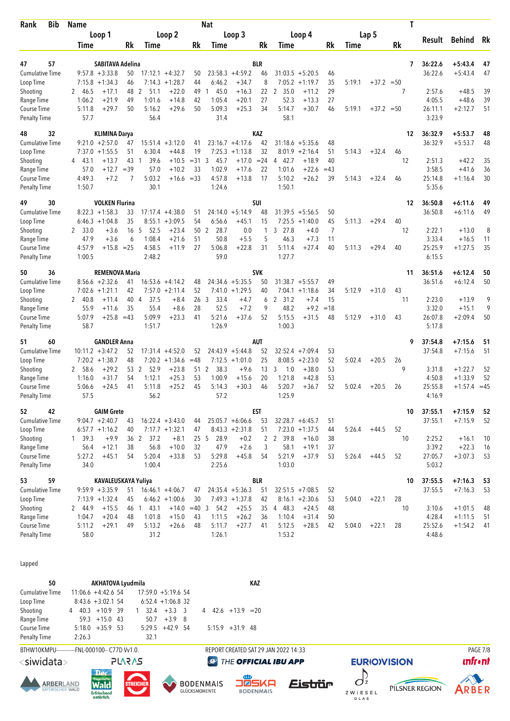| <b>Bib</b><br>Rank                 | Name           |                         |                 | Nat                    |                    |                 |                |                    |              |                      |           |       |        |                  | Τ  |                   |                |    |
|------------------------------------|----------------|-------------------------|-----------------|------------------------|--------------------|-----------------|----------------|--------------------|--------------|----------------------|-----------|-------|--------|------------------|----|-------------------|----------------|----|
|                                    | Loop 1         |                         |                 |                        | Loop 2             |                 |                | Loop 3             |              |                      | Loop 4    |       |        | Lap <sub>5</sub> |    |                   |                |    |
|                                    | Time           |                         | Rk              | <b>Time</b>            |                    | Rk              | Time           |                    | Rk           | Time                 |           | Rk    | Time   |                  | Rk | Result            | <b>Behind</b>  | Rk |
| 57<br>47                           |                | <b>SABITAVA Adelina</b> |                 |                        |                    |                 |                |                    | <b>BLR</b>   |                      |           |       |        |                  | 7  | 36:22.6           | $+5:43.4$      | 47 |
| <b>Cumulative Time</b>             |                | $9:57.8 + 3:33.8$       | 50              |                        | $17:12.1 + 4:32.7$ | 50              |                | $23:58.3 +4:59.2$  | 46           | $31:03.5 + 5:20.5$   |           | 46    |        |                  |    | 36:22.6           | $+5:43.4$      | 47 |
| Loop Time                          | 7:15.8         | $+1:34.3$               | 46              |                        | $7:14.3 +1:28.7$   | 44              | 6:46.2         | $+34.7$            | 8            | 7:05.2               | $+1:19.7$ | 35    | 5:19.1 | $+37.2 = 50$     |    |                   |                |    |
| Shooting                           | 2 46.5         | $+17.1$                 | 48              | 51.1<br>-2             | $+22.0$            | 49              | 45.0<br>1      | $+16.3$            | 22           | $\mathbf{2}$<br>35.0 | $+11.2$   | 29    |        |                  | 7  | 2:57.6            | $+48.5$        | 39 |
| Range Time                         | 1:06.2         | $+21.9$                 | 49              | 1:01.6                 | $+14.8$            | 42              | 1:05.4         | $+20.1$            | 27           | 52.3                 | $+13.3$   | 27    |        |                  |    | 4:05.5            | $+48.6$        | 39 |
| Course Time                        | 5:11.8         | $+29.7$                 | 50              | 5:16.2                 | $+29.6$            | 50              | 5:09.3         | $+25.3$            | 34           | 5:14.7               | $+30.7$   | 46    | 5:19.1 | $+37.2 = 50$     |    | 26:11.1           | $+2:12.7$      | 51 |
| <b>Penalty Time</b>                | 57.7           |                         |                 | 56.4                   |                    |                 | 31.4           |                    |              | 58.1                 |           |       |        |                  |    | 3:23.9            |                |    |
| 48<br>32                           |                | <b>KLIMINA Darya</b>    |                 |                        |                    |                 |                |                    | KAZ          |                      |           |       |        |                  | 12 | 36:32.9           | $+5:53.7$      | 48 |
| <b>Cumulative Time</b>             |                | $9:21.0 + 2:57.0$       | 47              |                        | $15:51.4 + 3:12.0$ | 41              |                | $23:16.7 + 4:17.6$ | 42           | $31:18.6 + 5:35.6$   |           | 48    |        |                  |    | 36:32.9           | $+5:53.7$      | 48 |
| Loop Time                          | 7:37.0         | $+1:55.5$               | 51              | 6:30.4                 | $+44.8$            | 19              |                | $7:25.3 +1:13.8$   | 32           | $8:01.9 +2:16.4$     |           | 51    | 5:14.3 | $+32.4$          | 46 |                   |                |    |
| Shooting                           | 43.1<br>4      | $+13.7$                 | 43              | 39.6<br>$\overline{1}$ | $+10.5$            | $= 31$          | 3<br>45.7      | $+17.0$            | $= 24$       | 4 42.7               | $+18.9$   | 40    |        |                  | 12 | 2:51.3            | $+42.2$        | 35 |
| Range Time                         | 57.0           | $+12.7$                 | $=39$           | 57.0                   | $+10.2$            | 33              | 1:02.9         | $+17.6$            | 22           | 1:01.6               | $+22.6$   | $=43$ |        |                  |    | 3:58.5            | $+41.6$        | 36 |
| Course Time                        | 4:49.3         | $+7.2$                  | 7               | 5:03.2                 | +16.6 =33          |                 | 4:57.8         | $+13.8$            | 17           | 5:10.2               | $+26.2$   | 39    | 5:14.3 | $+32.4$          | 46 | 25:14.8           | $+1:16.4$      | 30 |
| <b>Penalty Time</b>                | 1:50.7         |                         |                 | 30.1                   |                    |                 | 1:24.6         |                    |              | 1:50.1               |           |       |        |                  |    | 5:35.6            |                |    |
| 49<br>30                           |                | <b>VOLKEN Flurina</b>   |                 |                        |                    |                 |                |                    | SUI          |                      |           |       |        |                  | 12 | 36:50.8           | $+6:11.6$      | 49 |
| <b>Cumulative Time</b>             |                | $8:22.3 +1:58.3$        | 33              |                        | $17:17.4 +4:38.0$  | 51              |                | $24:14.0 + 5:14.9$ | 48           | $31:39.5 + 5:56.5$   |           | 50    |        |                  |    | 36:50.8           | $+6:11.6$      | 49 |
| Loop Time                          |                | $6:46.3 +1:04.8$        | 35              | 8:55.1                 | $+3:09.5$          | 54              | 6:56.6         | $+45.1$            | 15           | 7:25.5               | $+1:40.0$ | 45    | 5:11.3 | $+29.4$          | 40 |                   |                |    |
| Shooting                           | 2 33.0         | $+3.6$                  | 16 5            | 52.5                   | $+23.4$            | 50 <sub>2</sub> | 28.7           | 0.0                | 1            | 3 27.8               | $+4.0$    | 7     |        |                  | 12 | 2:22.1            | $+13.0$        | 8  |
| Range Time                         | 47.9           | $+3.6$                  | 6               | 1:08.4                 | $+21.6$            | 51              | 50.8           | $+5.5$             | 5            | 46.3                 | $+7.3$    | 11    |        |                  |    | 3:33.4            | $+16.5$        | 11 |
| Course Time                        | 4:57.9         | $+15.8 = 25$            |                 | 4:58.5                 | $+11.9$            | 27              | 5:06.8         | $+22.8$            | 31           | 5:11.4               | $+27.4$   | 40    | 5:11.3 | $+29.4$          | 40 | 25:25.9           | $+1:27.5$      | 35 |
| <b>Penalty Time</b>                | 1:00.5         |                         |                 | 2:48.2                 |                    |                 | 59.0           |                    |              | 1:27.7               |           |       |        |                  |    | 6:15.5            |                |    |
| 50<br>36                           |                | <b>REMENOVA Maria</b>   |                 |                        |                    |                 |                |                    | <b>SVK</b>   |                      |           |       |        |                  | 11 | 36:51.6           | $+6:12.4$      | 50 |
| <b>Cumulative Time</b>             |                | $8:56.6 + 2:32.6$       | 41              |                        | $16:53.6 + 4:14.2$ | 48              |                | $24:34.6 + 5:35.5$ | 50           | $31:38.7 + 5:55.7$   |           | 49    |        |                  |    | 36:51.6           | $+6:12.4$      | 50 |
| Loop Time                          | 7:02.6         | $+1:21.1$               | 42              |                        | $7:57.0 +2:11.4$   | 52              |                | $7:41.0 +1:29.5$   | 40           | $7:04.1 + 1:18.6$    |           | 34    | 5:12.9 | $+31.0$          | 43 |                   |                |    |
| Shooting                           | 2 40.8         | $+11.4$                 | 40              | $\overline{4}$<br>37.5 | $+8.4$             | 26 <sub>3</sub> | 33.4           | $+4.7$             | 6            | $\mathbf{2}$<br>31.2 | $+7.4$    | 15    |        |                  | 11 | 2:23.0            | $+13.9$        | 9  |
| Range Time                         | 55.9           | $+11.6$                 | 35              | 55.4                   | $+8.6$             | 28              | 52.5           | $+7.2$             | 9            | 48.2                 | $+9.2$    | $=18$ |        |                  |    | 3:32.0            | $+15.1$        | 9  |
| Course Time                        | 5:07.9         | $+25.8$                 | $=43$           | 5:09.9                 | $+23.3$            | 41              | 5:21.6         | $+37.6$            | 52           | 5:15.5               | $+31.5$   | 48    | 5:12.9 | $+31.0$          | 43 | 26:07.8           | $+2:09.4$      | 50 |
| <b>Penalty Time</b>                | 58.7           |                         |                 | 1:51.7                 |                    |                 | 1:26.9         |                    |              | 1:00.3               |           |       |        |                  |    | 5:17.8            |                |    |
| 51<br>60                           |                | <b>GANDLER Anna</b>     |                 |                        |                    |                 |                |                    | <b>AUT</b>   |                      |           |       |        |                  | 9  | 37:54.8           | $+7:15.6$      | 51 |
| Cumulative Time                    |                | $10:11.2 + 3:47.2$      | 52              |                        | $17:31.4 +4:52.0$  | 52              |                | $24:43.9 + 5:44.8$ | 52           | 32:52.4              | $+7:09.4$ | 53    |        |                  |    | 37:54.8           | $+7:15.6$      | 51 |
| Loop Time                          |                | $7:20.2 +1:38.7$        | 48              |                        | $7:20.2 +1:34.6$   | $=48$           |                | $7:12.5 +1:01.0$   | 25           | 8:08.5               | $+2:23.0$ | 52    | 5:02.4 | $+20.5$          | 26 |                   |                |    |
| Shooting                           | 2 58.6         | $+29.2$                 | 53 2            | 52.9                   | $+23.8$            | 51              | 38.3<br>2      | $+9.6$             | 13           | 3<br>1:0             | $+38.0$   | 53    |        |                  | 9  | 3:31.8            | $+1:22.7$      | 52 |
| Range Time                         | 1:16.0         | $+31.7$                 | 54              | 1:12.1                 | $+25.3$            | 53              | 1:00.9         | $+15.6$            | 20           | 1:21.8               | $+42.8$   | 53    |        |                  |    | 4:50.8            | $+1:33.9$      | 52 |
| Course Time<br><b>Penalty Time</b> | 5:06.6<br>57.5 | $+24.5$                 | 41              | 5:11.8<br>56.2         | $+25.2$            | 45              | 5:14.3<br>57.2 | $+30.3$            | 46           | 5:20.7<br>1:25.9     | $+36.7$   | 52    | 5:02.4 | $+20.5$          | 26 | 25:55.8<br>4:16.9 | $+1:57.4 = 45$ |    |
| 42<br>52                           |                | <b>GAIM Grete</b>       |                 |                        |                    |                 |                |                    | <b>EST</b>   |                      |           |       |        |                  | 10 | 37:55.1           | $+7:15.9$      | 52 |
| <b>Cumulative Time</b>             |                | $9:04.7 +2:40.7$        | 43              |                        | $16:22.4 + 3:43.0$ | 44              |                | $25:05.7 + 6:06.6$ | 53           | $32:28.7 + 6:45.7$   |           | 51    |        |                  |    | 37:55.1           | $+7:15.9$      | 52 |
| Loop Time                          |                | $6:57.7 + 1:16.2$       | 40              |                        | $7:17.7 + 1:32.1$  | 47              |                | $8:43.3 +2:31.8$   | 51           | $7:23.0 +1:37.5$     |           | 44    | 5:26.4 | $+44.5$          | 52 |                   |                |    |
| Shooting                           | 1, 39.3        | $+9.9$                  | 36 <sub>2</sub> | 37.2                   | $+8.1$             | 25 <sub>5</sub> | 28.9           | $+0.2$             | $\mathbf{2}$ | 2 39.8               | $+16.0$   | 38    |        |                  | 10 | 2:25.2            | $+16.1$        | 10 |
| Range Time                         | 56.4           | $+12.1$                 | 38              | 56.8                   | $+10.0$            | 32              | 47.9           | $+2.6$             | 3            | 58.1                 | $+19.1$   | 37    |        |                  |    | 3:39.2            | $+22.3$        | 16 |
| Course Time                        | 5:27.2         | $+45.1$                 | 54              | 5:20.4                 | $+33.8$            | 53              | 5:29.8         | $+45.8$            | 54           | 5:21.9               | $+37.9$   | 53    | 5:26.4 | $+44.5$          | 52 | 27:05.7           | $+3:07.3$      | 53 |
| Penalty Time                       | 34.0           |                         |                 | 1:00.4                 |                    |                 | 2:25.6         |                    |              | 1:03.0               |           |       |        |                  |    | 5:03.2            |                |    |
| 59<br>53                           |                | KAVALEUSKAYA Yuliya     |                 |                        |                    |                 |                |                    | BLR          |                      |           |       |        |                  | 10 | 37:55.5           | $+7:16.3$      | 53 |
| Cumulative Time                    |                | $9:59.9 + 3:35.9$       | 51              |                        | $16:46.1 + 4:06.7$ | 47              |                | $24:35.4 +5:36.3$  | 51           | $32:51.5 +7:08.5$    |           | 52    |        |                  |    | 37:55.5           | $+7:16.3$      | 53 |
| Loop Time                          |                | $7:13.9 +1:32.4$        | 45              |                        | $6:46.2 +1:00.6$   | 30              |                | $7:49.3 +1:37.8$   | 42           | $8:16.1 + 2:30.6$    |           | 53    | 5:04.0 | $+22.1$          | 28 |                   |                |    |
| Shooting                           | 2 44.9         | $+15.5$                 | 46 1            | 43.1                   | $+14.0 = 40$ 3     |                 | 54.2           | $+25.5$            | 35           | 4 48.3               | $+24.5$   | 48    |        |                  | 10 | 3:10.6            | $+1:01.5$      | 48 |
| Range Time                         | 1:04.7         | $+20.4$                 | 48              | 1:01.8                 | $+15.0$            | 43              | 1:11.5         | $+26.2$            | 36           | 1:10.4               | $+31.4$   | 50    |        |                  |    | 4:28.4            | $+1:11.5$      | 51 |
| Course Time                        | 5:11.2         | $+29.1$                 | 49              | 5:13.2                 | $+26.6$            | 48              | 5:11.7         | $+27.7$            | 41           | 5:12.5               | $+28.5$   | 42    | 5:04.0 | $+22.1$          | 28 | 25:52.6           | $+1:54.2$      | 41 |
| <b>Penalty Time</b>                | 58.0           |                         |                 | 31.2                   |                    |                 | 1:26.1         |                    |              | 1:53.2               |           |       |        |                  |    | 4:48.6            |                |    |
|                                    |                |                         |                 |                        |                    |                 |                |                    |              |                      |           |       |        |                  |    |                   |                |    |

Lapped

| 50              |                                  | <b>AKHATOVA Lyudmila</b> |                      |                       |  |                           | KAZ |
|-----------------|----------------------------------|--------------------------|----------------------|-----------------------|--|---------------------------|-----|
| Cumulative Time | $11:06.6 +4:42.6$ 54             |                          |                      | $17:59.0 + 5:19.6$ 54 |  |                           |     |
| Loop Time       | $8:43.6 + 3:02.154$              |                          |                      | $6:52.4 +1:06.8$ 32   |  |                           |     |
| Shooting        | $4\quad 40.3\quad +10.9\quad 39$ |                          | $1 \t32.4 + 3.3 \t3$ |                       |  | $4\quad 42.6 + 13.9 = 20$ |     |
| Range Time      |                                  | $59.3 + 15.0$ 43         |                      | $50.7 + 3.9$ 8        |  |                           |     |
| Course Time     | $5:18.0 + 35.9$ 53               |                          |                      | $5:29.5$ +42.9 54     |  | $5:15.9$ +31.9 48         |     |
| Penalty Time    | 2:26.3                           |                          | 32.1                 |                       |  |                           |     |

BTHW10KMPU-----------FNL-000100-- C77D Vv1.0. **PLARAS** 

<siwidata>











REPORT CREATED SAT 29 JAN 2022 14:33

**@** THE OFFICIAL IBU APP







**PAGE 7/8**